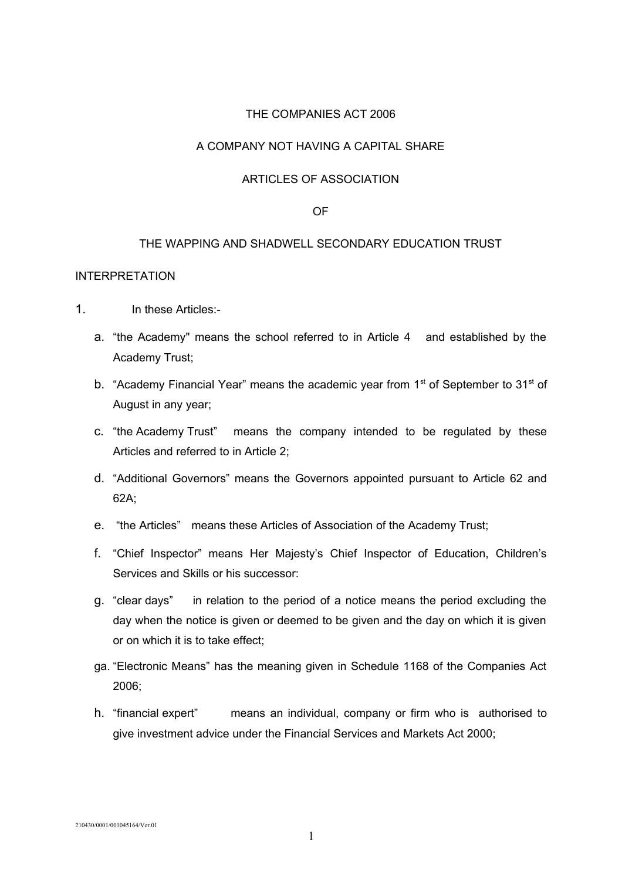### THE COMPANIES ACT 2006

# A COMPANY NOT HAVING A CAPITAL SHARE

### ARTICLES OF ASSOCIATION

### OF

### THE WAPPING AND SHADWELL SECONDARY EDUCATION TRUST

### INTERPRETATION

- 1. In these Articles:
	- a. "the Academy" means the school referred to in Article 4 and established by the Academy Trust;
	- b. "Academy Financial Year" means the academic year from  $1<sup>st</sup>$  of September to  $31<sup>st</sup>$  of August in any year;
	- c. "the Academy Trust" means the company intended to be regulated by these Articles and referred to in Article 2;
	- d. "Additional Governors" means the Governors appointed pursuant to Article 62 and 62A;
	- e. "the Articles" means these Articles of Association of the Academy Trust;
	- f. "Chief Inspector" means Her Majesty's Chief Inspector of Education, Children's Services and Skills or his successor:
	- g. "clear days" in relation to the period of a notice means the period excluding the day when the notice is given or deemed to be given and the day on which it is given or on which it is to take effect;
	- ga. "Electronic Means" has the meaning given in Schedule 1168 of the Companies Act 2006;
	- h. "financial expert" means an individual, company or firm who is authorised to give investment advice under the Financial Services and Markets Act 2000;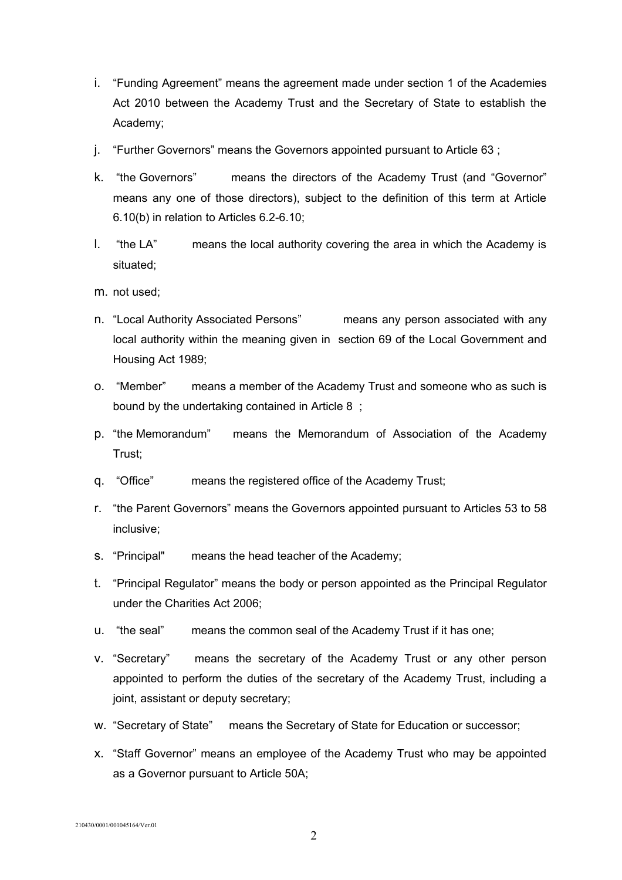- i. "Funding Agreement" means the agreement made under section 1 of the Academies Act 2010 between the Academy Trust and the Secretary of State to establish the Academy;
- j. "Further Governors" means the Governors appointed pursuant to Article 63 ;
- k. "the Governors" means the directors of the Academy Trust (and "Governor" means any one of those directors), subject to the definition of this term at Article 6.10(b) in relation to Articles 6.2-6.10;
- l. "the LA" means the local authority covering the area in which the Academy is situated;
- m. not used;
- n. "Local Authority Associated Persons" means any person associated with any local authority within the meaning given in section 69 of the Local Government and Housing Act 1989;
- o. "Member" means a member of the Academy Trust and someone who as such is bound by the undertaking contained in Article 8 ;
- p. "the Memorandum" means the Memorandum of Association of the Academy Trust;
- q. "Office" means the registered office of the Academy Trust;
- r. "the Parent Governors" means the Governors appointed pursuant to Articles 53 to 58 inclusive;
- s. "Principal" means the head teacher of the Academy;
- t. "Principal Regulator" means the body or person appointed as the Principal Regulator under the Charities Act 2006;
- u. "the seal" means the common seal of the Academy Trust if it has one;
- v. "Secretary" means the secretary of the Academy Trust or any other person appointed to perform the duties of the secretary of the Academy Trust, including a joint, assistant or deputy secretary;
- w. "Secretary of State" means the Secretary of State for Education or successor;
- x. "Staff Governor" means an employee of the Academy Trust who may be appointed as a Governor pursuant to Article 50A;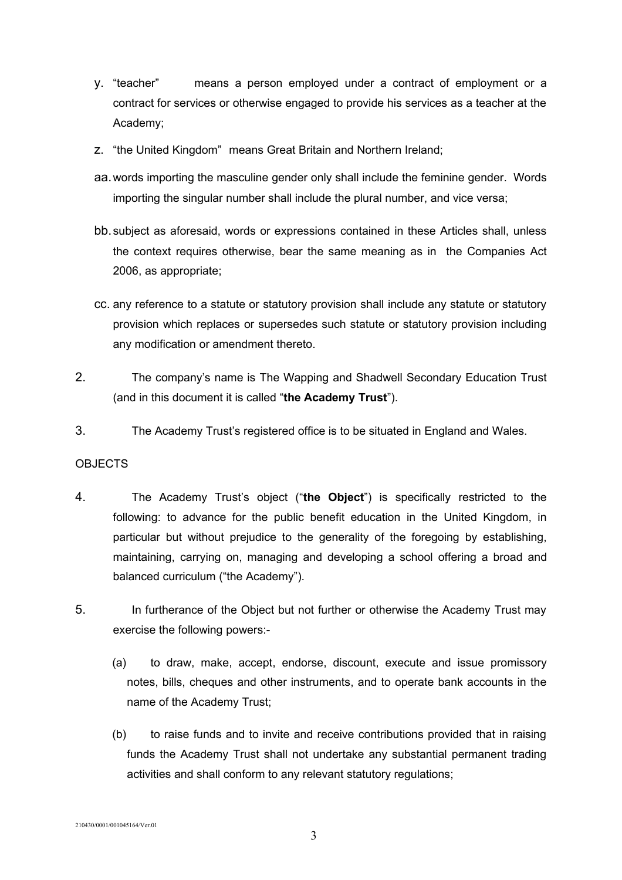- y. "teacher" means a person employed under a contract of employment or a contract for services or otherwise engaged to provide his services as a teacher at the Academy;
- z. "the United Kingdom" means Great Britain and Northern Ireland;
- aa.words importing the masculine gender only shall include the feminine gender. Words importing the singular number shall include the plural number, and vice versa;
- bb.subject as aforesaid, words or expressions contained in these Articles shall, unless the context requires otherwise, bear the same meaning as in the Companies Act 2006, as appropriate;
- cc. any reference to a statute or statutory provision shall include any statute or statutory provision which replaces or supersedes such statute or statutory provision including any modification or amendment thereto.
- 2. The company's name is The Wapping and Shadwell Secondary Education Trust (and in this document it is called "**the Academy Trust**").
- 3. The Academy Trust's registered office is to be situated in England and Wales.

# **OBJECTS**

- 4. The Academy Trust's object ("**the Object**") is specifically restricted to the following: to advance for the public benefit education in the United Kingdom, in particular but without prejudice to the generality of the foregoing by establishing, maintaining, carrying on, managing and developing a school offering a broad and balanced curriculum ("the Academy").
- 5. In furtherance of the Object but not further or otherwise the Academy Trust may exercise the following powers:-
	- (a) to draw, make, accept, endorse, discount, execute and issue promissory notes, bills, cheques and other instruments, and to operate bank accounts in the name of the Academy Trust;
	- (b) to raise funds and to invite and receive contributions provided that in raising funds the Academy Trust shall not undertake any substantial permanent trading activities and shall conform to any relevant statutory regulations;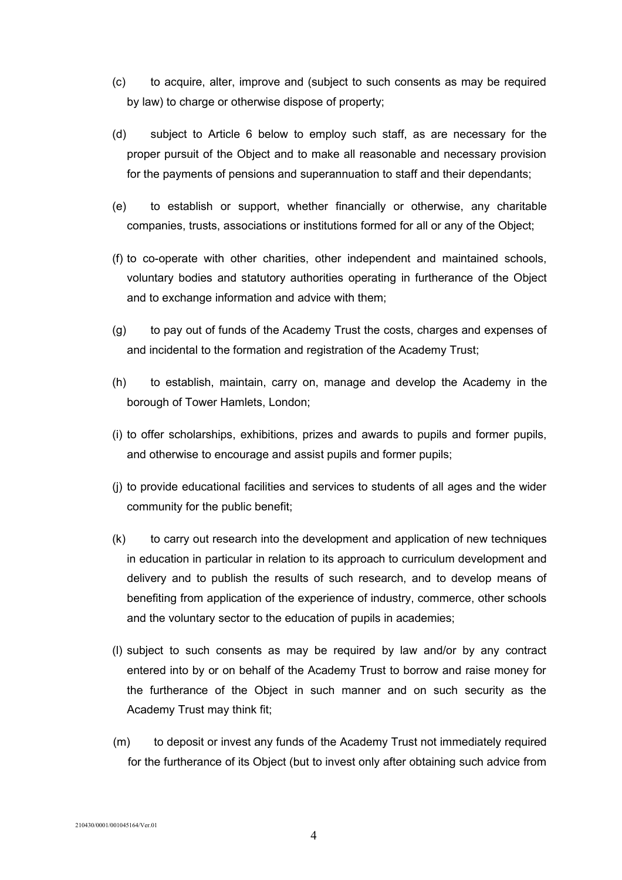- (c) to acquire, alter, improve and (subject to such consents as may be required by law) to charge or otherwise dispose of property;
- (d) subject to Article 6 below to employ such staff, as are necessary for the proper pursuit of the Object and to make all reasonable and necessary provision for the payments of pensions and superannuation to staff and their dependants;
- (e) to establish or support, whether financially or otherwise, any charitable companies, trusts, associations or institutions formed for all or any of the Object;
- (f) to co-operate with other charities, other independent and maintained schools, voluntary bodies and statutory authorities operating in furtherance of the Object and to exchange information and advice with them;
- (g) to pay out of funds of the Academy Trust the costs, charges and expenses of and incidental to the formation and registration of the Academy Trust;
- (h) to establish, maintain, carry on, manage and develop the Academy in the borough of Tower Hamlets, London;
- (i) to offer scholarships, exhibitions, prizes and awards to pupils and former pupils, and otherwise to encourage and assist pupils and former pupils;
- (j) to provide educational facilities and services to students of all ages and the wider community for the public benefit;
- (k) to carry out research into the development and application of new techniques in education in particular in relation to its approach to curriculum development and delivery and to publish the results of such research, and to develop means of benefiting from application of the experience of industry, commerce, other schools and the voluntary sector to the education of pupils in academies;
- (l) subject to such consents as may be required by law and/or by any contract entered into by or on behalf of the Academy Trust to borrow and raise money for the furtherance of the Object in such manner and on such security as the Academy Trust may think fit;
- (m) to deposit or invest any funds of the Academy Trust not immediately required for the furtherance of its Object (but to invest only after obtaining such advice from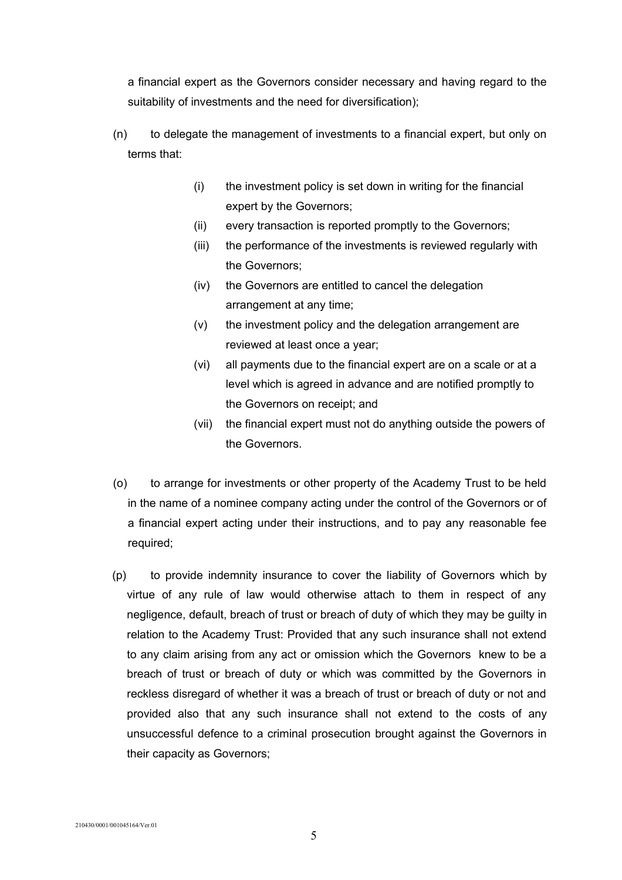a financial expert as the Governors consider necessary and having regard to the suitability of investments and the need for diversification);

- (n) to delegate the management of investments to a financial expert, but only on terms that:
	- (i) the investment policy is set down in writing for the financial expert by the Governors;
	- (ii) every transaction is reported promptly to the Governors;
	- (iii) the performance of the investments is reviewed regularly with the Governors;
	- (iv) the Governors are entitled to cancel the delegation arrangement at any time;
	- (v) the investment policy and the delegation arrangement are reviewed at least once a year;
	- (vi) all payments due to the financial expert are on a scale or at a level which is agreed in advance and are notified promptly to the Governors on receipt; and
	- (vii) the financial expert must not do anything outside the powers of the Governors.
- (o) to arrange for investments or other property of the Academy Trust to be held in the name of a nominee company acting under the control of the Governors or of a financial expert acting under their instructions, and to pay any reasonable fee required;
- (p) to provide indemnity insurance to cover the liability of Governors which by virtue of any rule of law would otherwise attach to them in respect of any negligence, default, breach of trust or breach of duty of which they may be guilty in relation to the Academy Trust: Provided that any such insurance shall not extend to any claim arising from any act or omission which the Governors knew to be a breach of trust or breach of duty or which was committed by the Governors in reckless disregard of whether it was a breach of trust or breach of duty or not and provided also that any such insurance shall not extend to the costs of any unsuccessful defence to a criminal prosecution brought against the Governors in their capacity as Governors;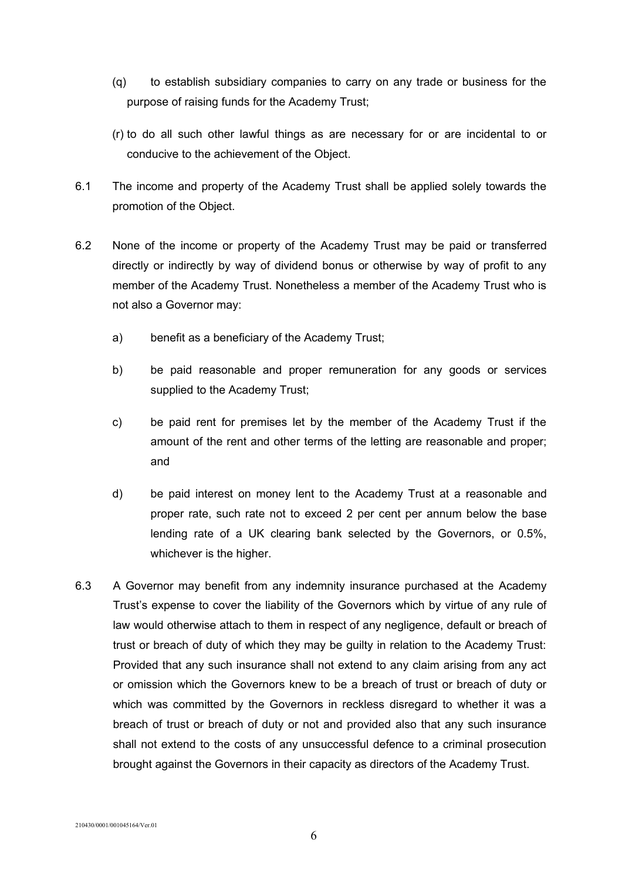- (q) to establish subsidiary companies to carry on any trade or business for the purpose of raising funds for the Academy Trust;
- (r) to do all such other lawful things as are necessary for or are incidental to or conducive to the achievement of the Object.
- 6.1 The income and property of the Academy Trust shall be applied solely towards the promotion of the Object.
- 6.2 None of the income or property of the Academy Trust may be paid or transferred directly or indirectly by way of dividend bonus or otherwise by way of profit to any member of the Academy Trust. Nonetheless a member of the Academy Trust who is not also a Governor may:
	- a) benefit as a beneficiary of the Academy Trust;
	- b) be paid reasonable and proper remuneration for any goods or services supplied to the Academy Trust;
	- c) be paid rent for premises let by the member of the Academy Trust if the amount of the rent and other terms of the letting are reasonable and proper; and
	- d) be paid interest on money lent to the Academy Trust at a reasonable and proper rate, such rate not to exceed 2 per cent per annum below the base lending rate of a UK clearing bank selected by the Governors, or 0.5%, whichever is the higher.
- 6.3 A Governor may benefit from any indemnity insurance purchased at the Academy Trust's expense to cover the liability of the Governors which by virtue of any rule of law would otherwise attach to them in respect of any negligence, default or breach of trust or breach of duty of which they may be guilty in relation to the Academy Trust: Provided that any such insurance shall not extend to any claim arising from any act or omission which the Governors knew to be a breach of trust or breach of duty or which was committed by the Governors in reckless disregard to whether it was a breach of trust or breach of duty or not and provided also that any such insurance shall not extend to the costs of any unsuccessful defence to a criminal prosecution brought against the Governors in their capacity as directors of the Academy Trust.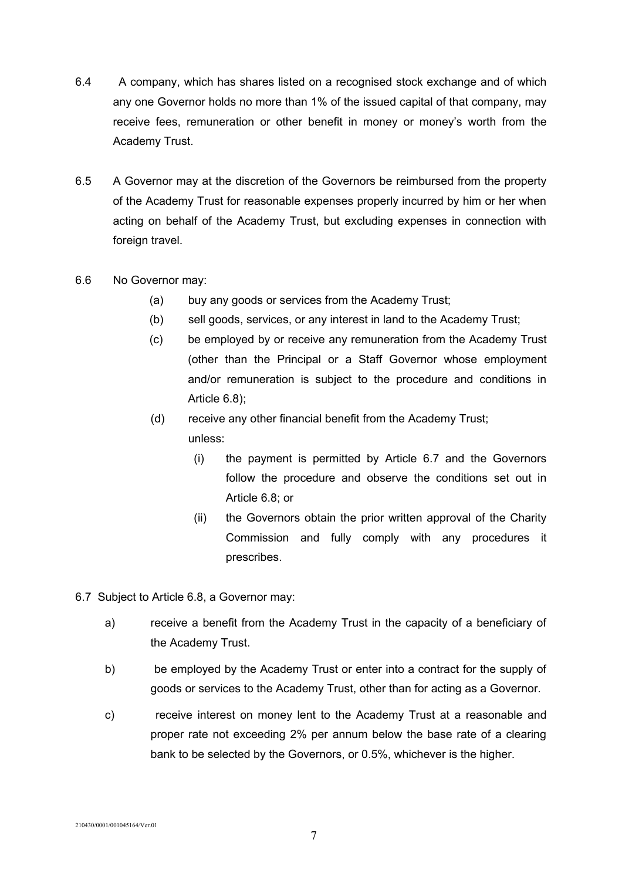- 6.4 A company, which has shares listed on a recognised stock exchange and of which any one Governor holds no more than 1% of the issued capital of that company, may receive fees, remuneration or other benefit in money or money's worth from the Academy Trust.
- 6.5 A Governor may at the discretion of the Governors be reimbursed from the property of the Academy Trust for reasonable expenses properly incurred by him or her when acting on behalf of the Academy Trust, but excluding expenses in connection with foreign travel.
- 6.6 No Governor may:
	- (a) buy any goods or services from the Academy Trust;
	- (b) sell goods, services, or any interest in land to the Academy Trust;
	- (c) be employed by or receive any remuneration from the Academy Trust (other than the Principal or a Staff Governor whose employment and/or remuneration is subject to the procedure and conditions in Article 6.8);

# (d) receive any other financial benefit from the Academy Trust; unless:

- (i) the payment is permitted by Article 6.7 and the Governors follow the procedure and observe the conditions set out in Article 6.8; or
- (ii) the Governors obtain the prior written approval of the Charity Commission and fully comply with any procedures it prescribes.
- 6.7 Subject to Article 6.8, a Governor may:
	- a) receive a benefit from the Academy Trust in the capacity of a beneficiary of the Academy Trust.
	- b) be employed by the Academy Trust or enter into a contract for the supply of goods or services to the Academy Trust, other than for acting as a Governor.
	- c) receive interest on money lent to the Academy Trust at a reasonable and proper rate not exceeding 2% per annum below the base rate of a clearing bank to be selected by the Governors, or 0.5%, whichever is the higher.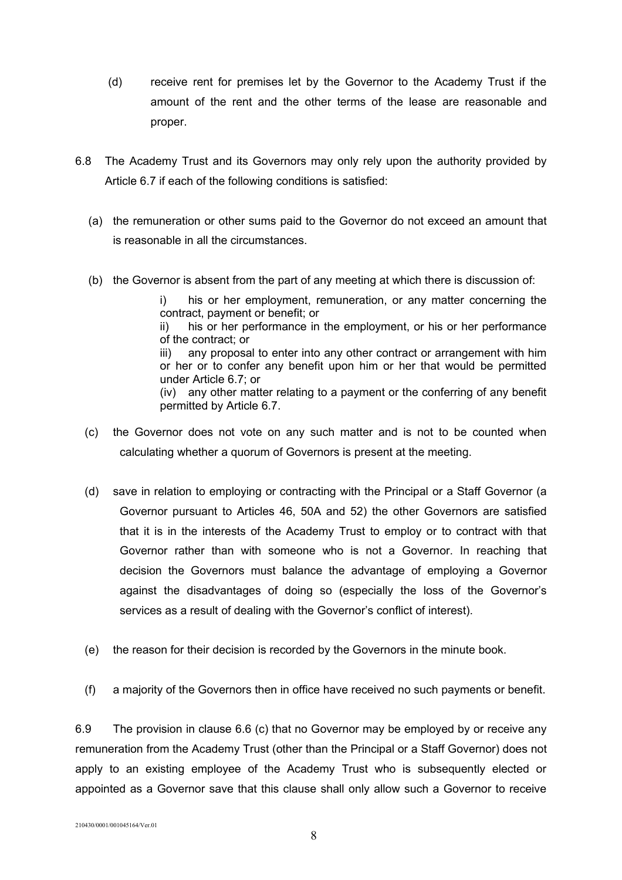- (d) receive rent for premises let by the Governor to the Academy Trust if the amount of the rent and the other terms of the lease are reasonable and proper.
- 6.8 The Academy Trust and its Governors may only rely upon the authority provided by Article 6.7 if each of the following conditions is satisfied:
	- (a) the remuneration or other sums paid to the Governor do not exceed an amount that is reasonable in all the circumstances.
	- (b) the Governor is absent from the part of any meeting at which there is discussion of:

i) his or her employment, remuneration, or any matter concerning the contract, payment or benefit; or ii) his or her performance in the employment, or his or her performance of the contract; or iii) any proposal to enter into any other contract or arrangement with him or her or to confer any benefit upon him or her that would be permitted under Article 6.7; or

(iv) any other matter relating to a payment or the conferring of any benefit permitted by Article 6.7.

- (c) the Governor does not vote on any such matter and is not to be counted when calculating whether a quorum of Governors is present at the meeting.
- (d) save in relation to employing or contracting with the Principal or a Staff Governor (a Governor pursuant to Articles 46, 50A and 52) the other Governors are satisfied that it is in the interests of the Academy Trust to employ or to contract with that Governor rather than with someone who is not a Governor. In reaching that decision the Governors must balance the advantage of employing a Governor against the disadvantages of doing so (especially the loss of the Governor's services as a result of dealing with the Governor's conflict of interest).
- (e) the reason for their decision is recorded by the Governors in the minute book.
- (f) a majority of the Governors then in office have received no such payments or benefit.

6.9 The provision in clause 6.6 (c) that no Governor may be employed by or receive any remuneration from the Academy Trust (other than the Principal or a Staff Governor) does not apply to an existing employee of the Academy Trust who is subsequently elected or appointed as a Governor save that this clause shall only allow such a Governor to receive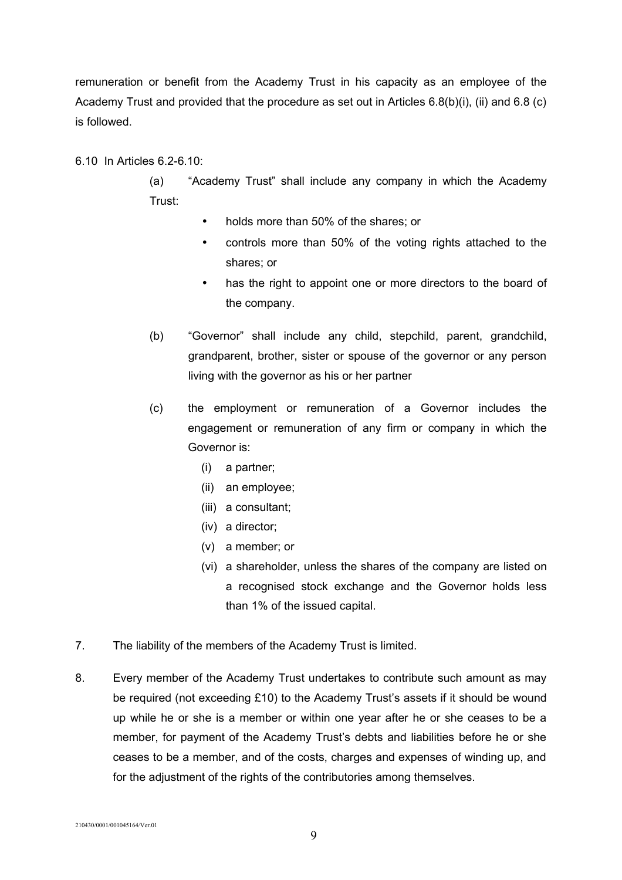remuneration or benefit from the Academy Trust in his capacity as an employee of the Academy Trust and provided that the procedure as set out in Articles 6.8(b)(i), (ii) and 6.8 (c) is followed.

6.10 In Articles 6.2-6.10:

(a) "Academy Trust" shall include any company in which the Academy Trust:

- holds more than 50% of the shares; or
- controls more than 50% of the voting rights attached to the shares; or
- has the right to appoint one or more directors to the board of the company.
- (b) "Governor" shall include any child, stepchild, parent, grandchild, grandparent, brother, sister or spouse of the governor or any person living with the governor as his or her partner
- (c) the employment or remuneration of a Governor includes the engagement or remuneration of any firm or company in which the Governor is:
	- (i) a partner;
	- (ii) an employee;
	- (iii) a consultant;
	- (iv) a director;
	- (v) a member; or
	- (vi) a shareholder, unless the shares of the company are listed on a recognised stock exchange and the Governor holds less than 1% of the issued capital.
- 7. The liability of the members of the Academy Trust is limited.
- 8. Every member of the Academy Trust undertakes to contribute such amount as may be required (not exceeding £10) to the Academy Trust's assets if it should be wound up while he or she is a member or within one year after he or she ceases to be a member, for payment of the Academy Trust's debts and liabilities before he or she ceases to be a member, and of the costs, charges and expenses of winding up, and for the adjustment of the rights of the contributories among themselves.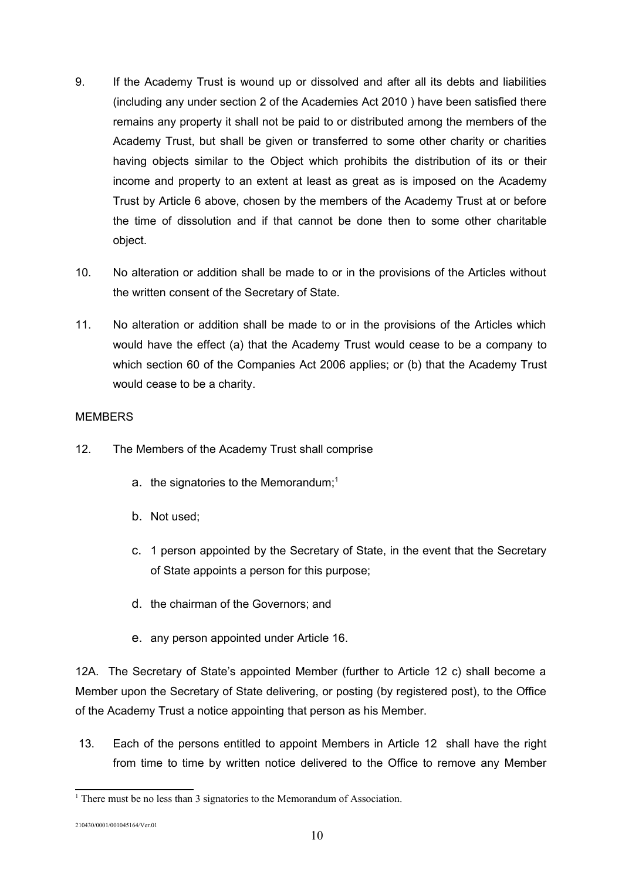- 9. If the Academy Trust is wound up or dissolved and after all its debts and liabilities (including any under section 2 of the Academies Act 2010 ) have been satisfied there remains any property it shall not be paid to or distributed among the members of the Academy Trust, but shall be given or transferred to some other charity or charities having objects similar to the Object which prohibits the distribution of its or their income and property to an extent at least as great as is imposed on the Academy Trust by Article 6 above, chosen by the members of the Academy Trust at or before the time of dissolution and if that cannot be done then to some other charitable object.
- 10. No alteration or addition shall be made to or in the provisions of the Articles without the written consent of the Secretary of State.
- 11. No alteration or addition shall be made to or in the provisions of the Articles which would have the effect (a) that the Academy Trust would cease to be a company to which section 60 of the Companies Act 2006 applies; or (b) that the Academy Trust would cease to be a charity.

# MEMBERS

- 12. The Members of the Academy Trust shall comprise
	- a. the signatories to the Memorandum;<sup>[1](#page-9-0)</sup>
	- b. Not used;
	- c. 1 person appointed by the Secretary of State, in the event that the Secretary of State appoints a person for this purpose;
	- d. the chairman of the Governors; and
	- e. any person appointed under Article 16.

12A. The Secretary of State's appointed Member (further to Article 12 c) shall become a Member upon the Secretary of State delivering, or posting (by registered post), to the Office of the Academy Trust a notice appointing that person as his Member.

 13. Each of the persons entitled to appoint Members in Article 12 shall have the right from time to time by written notice delivered to the Office to remove any Member

<span id="page-9-0"></span><sup>&</sup>lt;sup>1</sup> There must be no less than 3 signatories to the Memorandum of Association.

<sup>210430/0001/001045164/</sup>Ver.01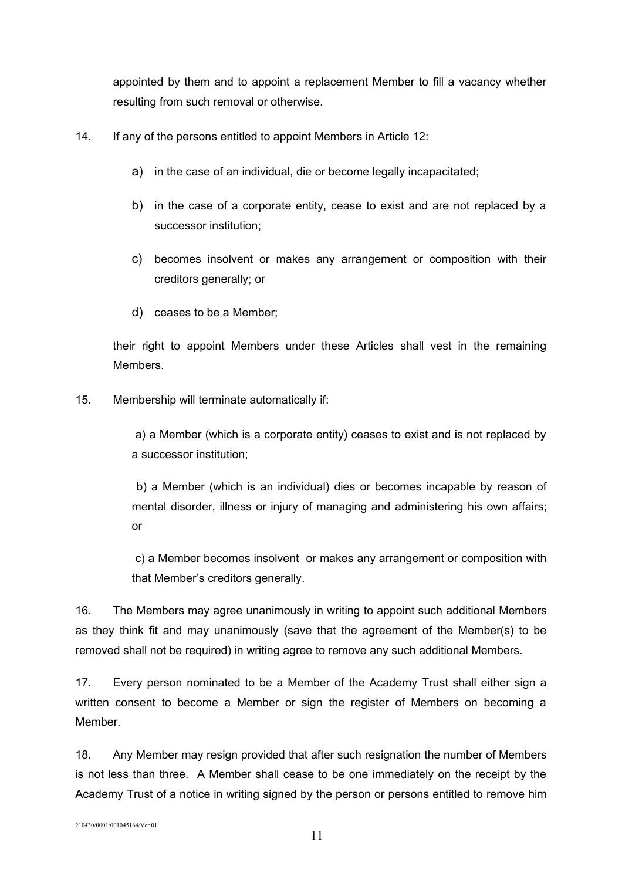appointed by them and to appoint a replacement Member to fill a vacancy whether resulting from such removal or otherwise.

- 14. If any of the persons entitled to appoint Members in Article 12:
	- a) in the case of an individual, die or become legally incapacitated;
	- b) in the case of a corporate entity, cease to exist and are not replaced by a successor institution;
	- c) becomes insolvent or makes any arrangement or composition with their creditors generally; or
	- d) ceases to be a Member;

their right to appoint Members under these Articles shall vest in the remaining Members.

15. Membership will terminate automatically if:

 a) a Member (which is a corporate entity) ceases to exist and is not replaced by a successor institution;

 b) a Member (which is an individual) dies or becomes incapable by reason of mental disorder, illness or injury of managing and administering his own affairs; or

 c) a Member becomes insolvent or makes any arrangement or composition with that Member's creditors generally.

16. The Members may agree unanimously in writing to appoint such additional Members as they think fit and may unanimously (save that the agreement of the Member(s) to be removed shall not be required) in writing agree to remove any such additional Members.

17. Every person nominated to be a Member of the Academy Trust shall either sign a written consent to become a Member or sign the register of Members on becoming a Member.

18. Any Member may resign provided that after such resignation the number of Members is not less than three. A Member shall cease to be one immediately on the receipt by the Academy Trust of a notice in writing signed by the person or persons entitled to remove him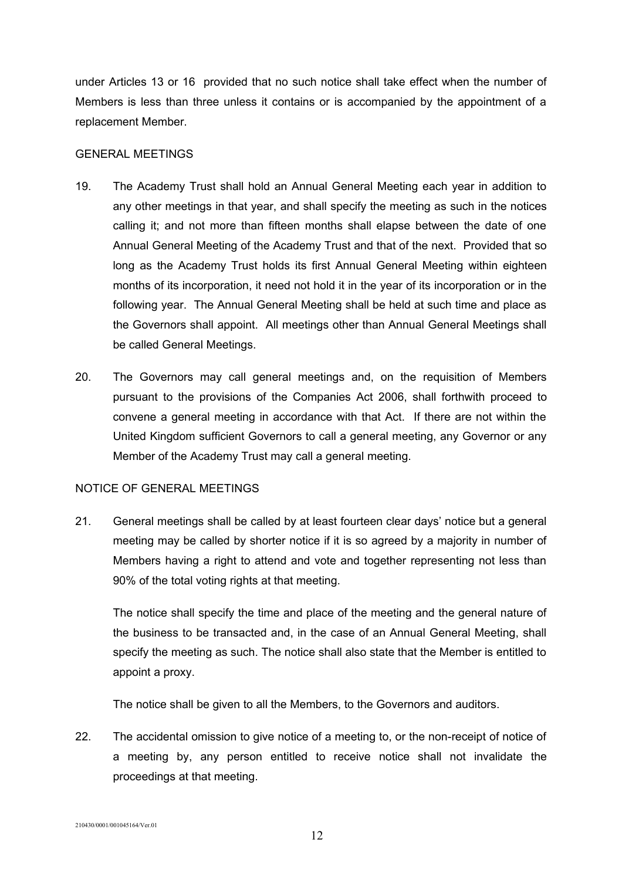under Articles 13 or 16 provided that no such notice shall take effect when the number of Members is less than three unless it contains or is accompanied by the appointment of a replacement Member.

### GENERAL MEETINGS

- 19. The Academy Trust shall hold an Annual General Meeting each year in addition to any other meetings in that year, and shall specify the meeting as such in the notices calling it; and not more than fifteen months shall elapse between the date of one Annual General Meeting of the Academy Trust and that of the next. Provided that so long as the Academy Trust holds its first Annual General Meeting within eighteen months of its incorporation, it need not hold it in the year of its incorporation or in the following year. The Annual General Meeting shall be held at such time and place as the Governors shall appoint. All meetings other than Annual General Meetings shall be called General Meetings.
- 20. The Governors may call general meetings and, on the requisition of Members pursuant to the provisions of the Companies Act 2006, shall forthwith proceed to convene a general meeting in accordance with that Act. If there are not within the United Kingdom sufficient Governors to call a general meeting, any Governor or any Member of the Academy Trust may call a general meeting.

# NOTICE OF GENERAL MEETINGS

21. General meetings shall be called by at least fourteen clear days' notice but a general meeting may be called by shorter notice if it is so agreed by a majority in number of Members having a right to attend and vote and together representing not less than 90% of the total voting rights at that meeting.

The notice shall specify the time and place of the meeting and the general nature of the business to be transacted and, in the case of an Annual General Meeting, shall specify the meeting as such. The notice shall also state that the Member is entitled to appoint a proxy.

The notice shall be given to all the Members, to the Governors and auditors.

22. The accidental omission to give notice of a meeting to, or the non-receipt of notice of a meeting by, any person entitled to receive notice shall not invalidate the proceedings at that meeting.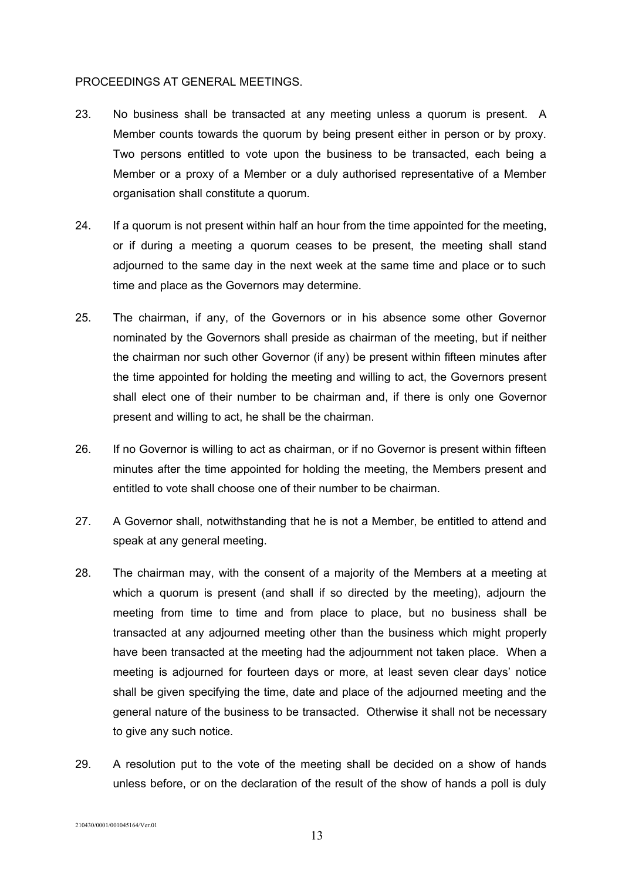#### PROCEEDINGS AT GENERAL MEETINGS.

- 23. No business shall be transacted at any meeting unless a quorum is present. A Member counts towards the quorum by being present either in person or by proxy. Two persons entitled to vote upon the business to be transacted, each being a Member or a proxy of a Member or a duly authorised representative of a Member organisation shall constitute a quorum.
- 24. If a quorum is not present within half an hour from the time appointed for the meeting, or if during a meeting a quorum ceases to be present, the meeting shall stand adjourned to the same day in the next week at the same time and place or to such time and place as the Governors may determine.
- 25. The chairman, if any, of the Governors or in his absence some other Governor nominated by the Governors shall preside as chairman of the meeting, but if neither the chairman nor such other Governor (if any) be present within fifteen minutes after the time appointed for holding the meeting and willing to act, the Governors present shall elect one of their number to be chairman and, if there is only one Governor present and willing to act, he shall be the chairman.
- 26. If no Governor is willing to act as chairman, or if no Governor is present within fifteen minutes after the time appointed for holding the meeting, the Members present and entitled to vote shall choose one of their number to be chairman.
- 27. A Governor shall, notwithstanding that he is not a Member, be entitled to attend and speak at any general meeting.
- 28. The chairman may, with the consent of a majority of the Members at a meeting at which a quorum is present (and shall if so directed by the meeting), adjourn the meeting from time to time and from place to place, but no business shall be transacted at any adjourned meeting other than the business which might properly have been transacted at the meeting had the adjournment not taken place. When a meeting is adjourned for fourteen days or more, at least seven clear days' notice shall be given specifying the time, date and place of the adjourned meeting and the general nature of the business to be transacted. Otherwise it shall not be necessary to give any such notice.
- 29. A resolution put to the vote of the meeting shall be decided on a show of hands unless before, or on the declaration of the result of the show of hands a poll is duly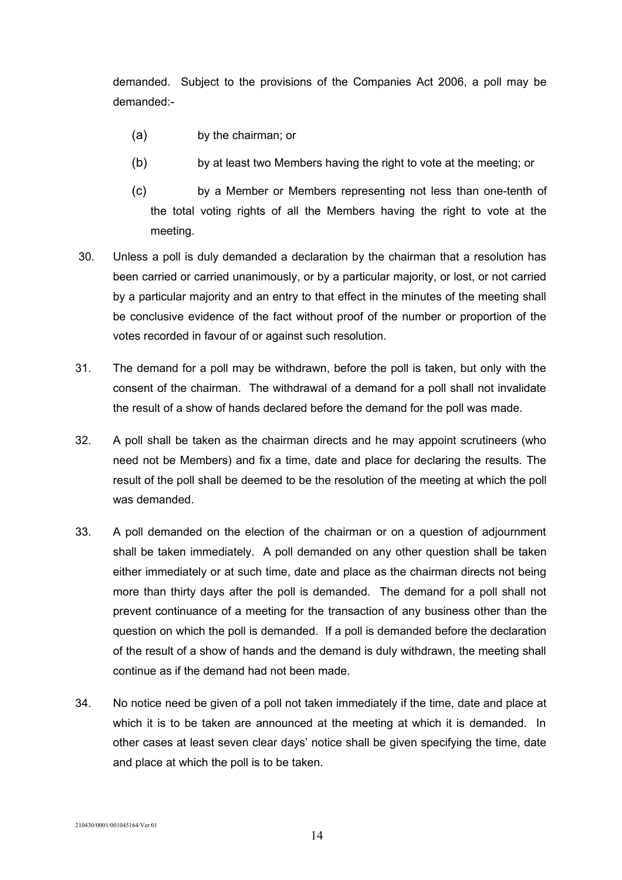demanded. Subject to the provisions of the Companies Act 2006, a poll may be demanded:-

- (a) by the chairman; or
- (b) by at least two Members having the right to vote at the meeting; or
- (c) by a Member or Members representing not less than one-tenth of the total voting rights of all the Members having the right to vote at the meeting.
- 30. Unless a poll is duly demanded a declaration by the chairman that a resolution has been carried or carried unanimously, or by a particular majority, or lost, or not carried by a particular majority and an entry to that effect in the minutes of the meeting shall be conclusive evidence of the fact without proof of the number or proportion of the votes recorded in favour of or against such resolution.
- 31. The demand for a poll may be withdrawn, before the poll is taken, but only with the consent of the chairman. The withdrawal of a demand for a poll shall not invalidate the result of a show of hands declared before the demand for the poll was made.
- 32. A poll shall be taken as the chairman directs and he may appoint scrutineers (who need not be Members) and fix a time, date and place for declaring the results. The result of the poll shall be deemed to be the resolution of the meeting at which the poll was demanded.
- 33. A poll demanded on the election of the chairman or on a question of adjournment shall be taken immediately. A poll demanded on any other question shall be taken either immediately or at such time, date and place as the chairman directs not being more than thirty days after the poll is demanded. The demand for a poll shall not prevent continuance of a meeting for the transaction of any business other than the question on which the poll is demanded. If a poll is demanded before the declaration of the result of a show of hands and the demand is duly withdrawn, the meeting shall continue as if the demand had not been made.
- 34. No notice need be given of a poll not taken immediately if the time, date and place at which it is to be taken are announced at the meeting at which it is demanded. In other cases at least seven clear days' notice shall be given specifying the time, date and place at which the poll is to be taken.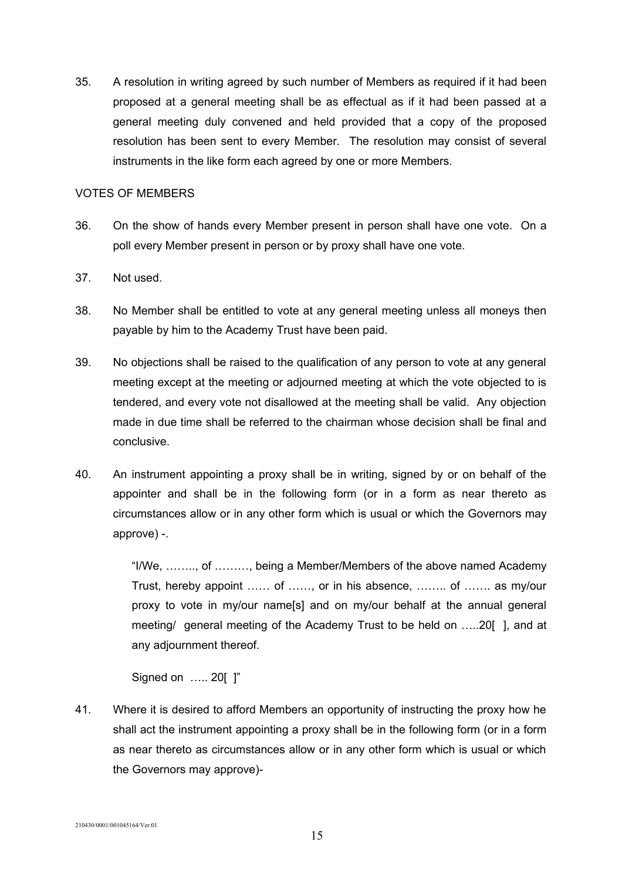35. A resolution in writing agreed by such number of Members as required if it had been proposed at a general meeting shall be as effectual as if it had been passed at a general meeting duly convened and held provided that a copy of the proposed resolution has been sent to every Member. The resolution may consist of several instruments in the like form each agreed by one or more Members.

### VOTES OF MEMBERS

- 36. On the show of hands every Member present in person shall have one vote. On a poll every Member present in person or by proxy shall have one vote.
- 37. Not used.
- 38. No Member shall be entitled to vote at any general meeting unless all moneys then payable by him to the Academy Trust have been paid.
- 39. No objections shall be raised to the qualification of any person to vote at any general meeting except at the meeting or adjourned meeting at which the vote objected to is tendered, and every vote not disallowed at the meeting shall be valid. Any objection made in due time shall be referred to the chairman whose decision shall be final and conclusive.
- 40. An instrument appointing a proxy shall be in writing, signed by or on behalf of the appointer and shall be in the following form (or in a form as near thereto as circumstances allow or in any other form which is usual or which the Governors may approve) -.

"I/We, …….., of ………, being a Member/Members of the above named Academy Trust, hereby appoint …… of ……, or in his absence, …….. of ……. as my/our proxy to vote in my/our name[s] and on my/our behalf at the annual general meeting/ general meeting of the Academy Trust to be held on …..20[ ], and at any adjournment thereof.

Signed on ….. 20[ ]"

41. Where it is desired to afford Members an opportunity of instructing the proxy how he shall act the instrument appointing a proxy shall be in the following form (or in a form as near thereto as circumstances allow or in any other form which is usual or which the Governors may approve)-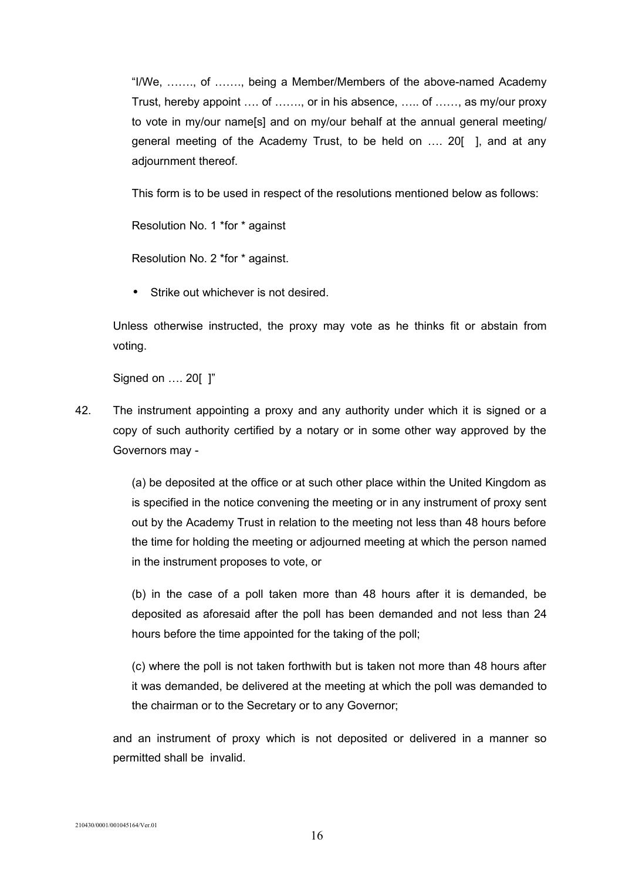"I/We, ……., of ……., being a Member/Members of the above-named Academy Trust, hereby appoint …. of ……., or in his absence, ….. of ……, as my/our proxy to vote in my/our name[s] and on my/our behalf at the annual general meeting/ general meeting of the Academy Trust, to be held on …. 20[ ], and at any adjournment thereof.

This form is to be used in respect of the resolutions mentioned below as follows:

Resolution No. 1 \*for \* against

Resolution No. 2 \*for \* against.

Strike out whichever is not desired.

Unless otherwise instructed, the proxy may vote as he thinks fit or abstain from voting.

Signed on …. 20[ ]"

42. The instrument appointing a proxy and any authority under which it is signed or a copy of such authority certified by a notary or in some other way approved by the Governors may -

> (a) be deposited at the office or at such other place within the United Kingdom as is specified in the notice convening the meeting or in any instrument of proxy sent out by the Academy Trust in relation to the meeting not less than 48 hours before the time for holding the meeting or adjourned meeting at which the person named in the instrument proposes to vote, or

> (b) in the case of a poll taken more than 48 hours after it is demanded, be deposited as aforesaid after the poll has been demanded and not less than 24 hours before the time appointed for the taking of the poll;

> (c) where the poll is not taken forthwith but is taken not more than 48 hours after it was demanded, be delivered at the meeting at which the poll was demanded to the chairman or to the Secretary or to any Governor;

and an instrument of proxy which is not deposited or delivered in a manner so permitted shall be invalid.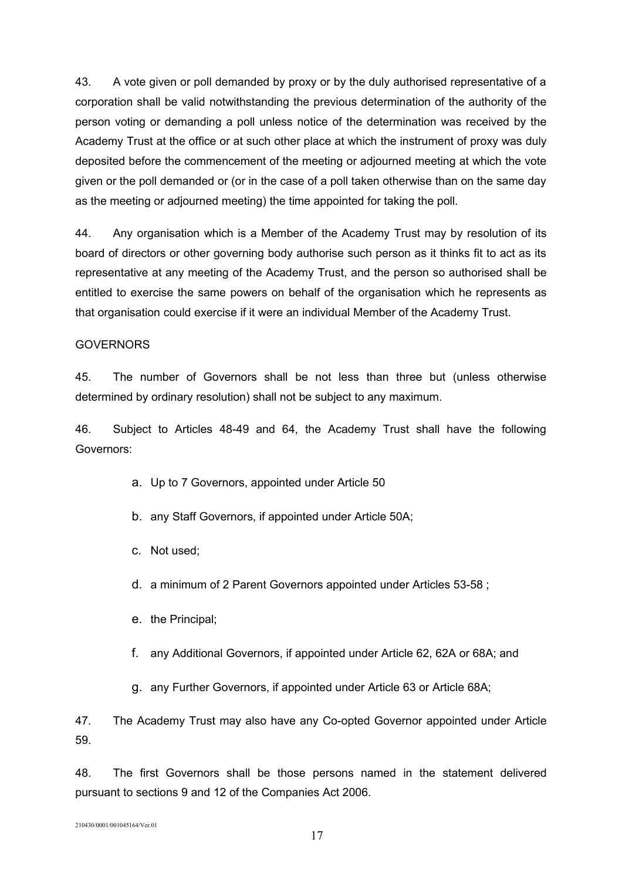43. A vote given or poll demanded by proxy or by the duly authorised representative of a corporation shall be valid notwithstanding the previous determination of the authority of the person voting or demanding a poll unless notice of the determination was received by the Academy Trust at the office or at such other place at which the instrument of proxy was duly deposited before the commencement of the meeting or adjourned meeting at which the vote given or the poll demanded or (or in the case of a poll taken otherwise than on the same day as the meeting or adjourned meeting) the time appointed for taking the poll.

44. Any organisation which is a Member of the Academy Trust may by resolution of its board of directors or other governing body authorise such person as it thinks fit to act as its representative at any meeting of the Academy Trust, and the person so authorised shall be entitled to exercise the same powers on behalf of the organisation which he represents as that organisation could exercise if it were an individual Member of the Academy Trust.

### GOVERNORS

45. The number of Governors shall be not less than three but (unless otherwise determined by ordinary resolution) shall not be subject to any maximum.

46. Subject to Articles 48-49 and 64, the Academy Trust shall have the following Governors:

- a. Up to 7 Governors, appointed under Article 50
- b. any Staff Governors, if appointed under Article 50A;
- c. Not used;
- d. a minimum of 2 Parent Governors appointed under Articles 53-58 ;
- e. the Principal;
- f. any Additional Governors, if appointed under Article 62, 62A or 68A; and
- g. any Further Governors, if appointed under Article 63 or Article 68A;

47. The Academy Trust may also have any Co-opted Governor appointed under Article 59.

48. The first Governors shall be those persons named in the statement delivered pursuant to sections 9 and 12 of the Companies Act 2006.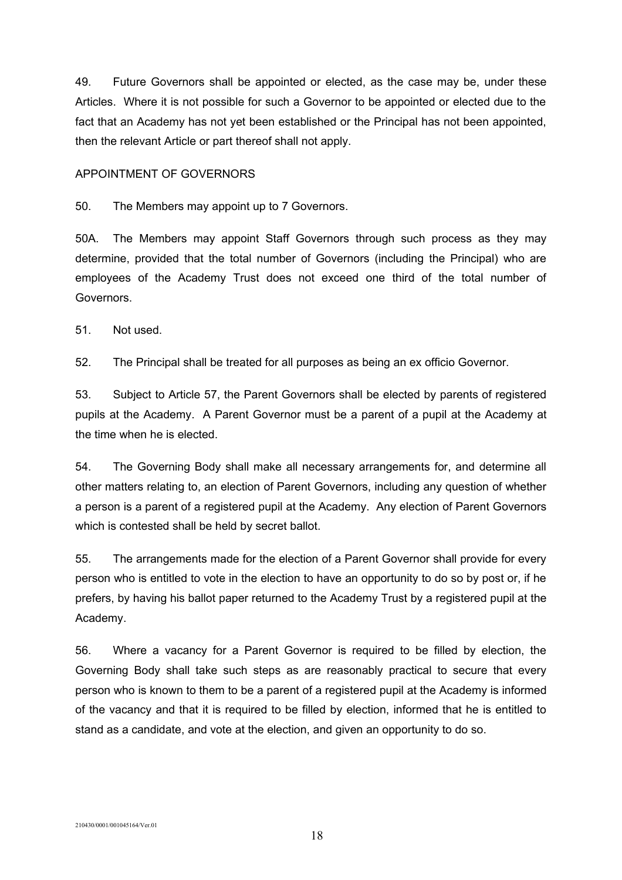49. Future Governors shall be appointed or elected, as the case may be, under these Articles. Where it is not possible for such a Governor to be appointed or elected due to the fact that an Academy has not yet been established or the Principal has not been appointed, then the relevant Article or part thereof shall not apply.

### APPOINTMENT OF GOVERNORS

50. The Members may appoint up to 7 Governors.

50A. The Members may appoint Staff Governors through such process as they may determine, provided that the total number of Governors (including the Principal) who are employees of the Academy Trust does not exceed one third of the total number of Governors.

51. Not used.

52. The Principal shall be treated for all purposes as being an ex officio Governor.

53. Subject to Article 57, the Parent Governors shall be elected by parents of registered pupils at the Academy. A Parent Governor must be a parent of a pupil at the Academy at the time when he is elected.

54. The Governing Body shall make all necessary arrangements for, and determine all other matters relating to, an election of Parent Governors, including any question of whether a person is a parent of a registered pupil at the Academy. Any election of Parent Governors which is contested shall be held by secret ballot.

55. The arrangements made for the election of a Parent Governor shall provide for every person who is entitled to vote in the election to have an opportunity to do so by post or, if he prefers, by having his ballot paper returned to the Academy Trust by a registered pupil at the Academy.

56. Where a vacancy for a Parent Governor is required to be filled by election, the Governing Body shall take such steps as are reasonably practical to secure that every person who is known to them to be a parent of a registered pupil at the Academy is informed of the vacancy and that it is required to be filled by election, informed that he is entitled to stand as a candidate, and vote at the election, and given an opportunity to do so.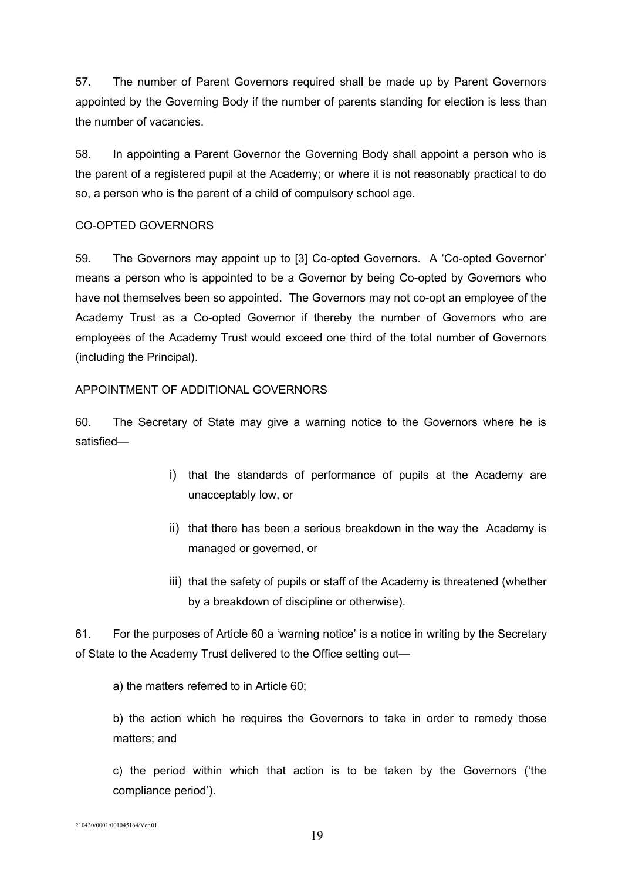57. The number of Parent Governors required shall be made up by Parent Governors appointed by the Governing Body if the number of parents standing for election is less than the number of vacancies.

58. In appointing a Parent Governor the Governing Body shall appoint a person who is the parent of a registered pupil at the Academy; or where it is not reasonably practical to do so, a person who is the parent of a child of compulsory school age.

# CO-OPTED GOVERNORS

59. The Governors may appoint up to [3] Co-opted Governors. A 'Co-opted Governor' means a person who is appointed to be a Governor by being Co-opted by Governors who have not themselves been so appointed. The Governors may not co-opt an employee of the Academy Trust as a Co-opted Governor if thereby the number of Governors who are employees of the Academy Trust would exceed one third of the total number of Governors (including the Principal).

# APPOINTMENT OF ADDITIONAL GOVERNORS

60. The Secretary of State may give a warning notice to the Governors where he is satisfied—

- i) that the standards of performance of pupils at the Academy are unacceptably low, or
- ii) that there has been a serious breakdown in the way the Academy is managed or governed, or
- iii) that the safety of pupils or staff of the Academy is threatened (whether by a breakdown of discipline or otherwise).

61. For the purposes of Article 60 a 'warning notice' is a notice in writing by the Secretary of State to the Academy Trust delivered to the Office setting out—

a) the matters referred to in Article 60;

b) the action which he requires the Governors to take in order to remedy those matters; and

c) the period within which that action is to be taken by the Governors ('the compliance period').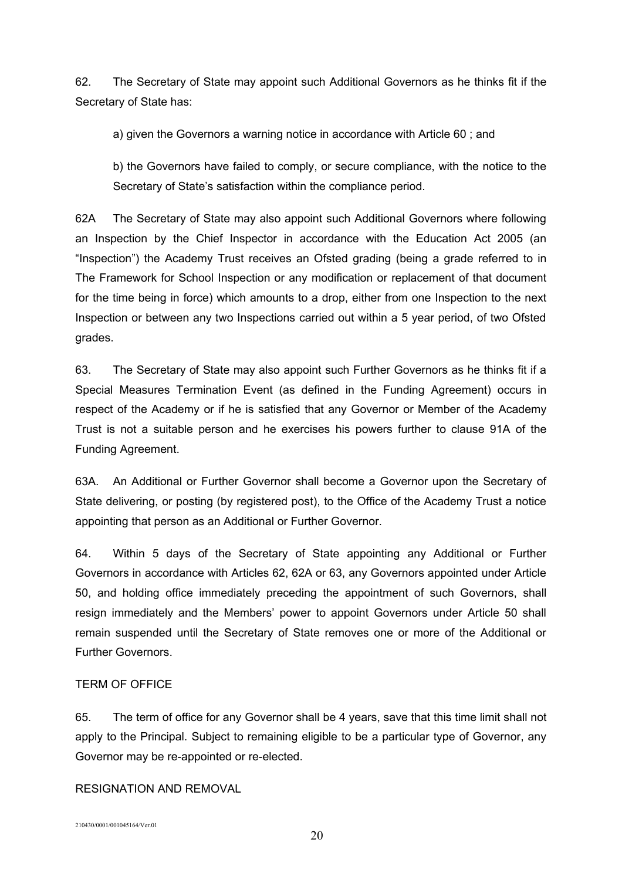62. The Secretary of State may appoint such Additional Governors as he thinks fit if the Secretary of State has:

a) given the Governors a warning notice in accordance with Article 60 ; and

b) the Governors have failed to comply, or secure compliance, with the notice to the Secretary of State's satisfaction within the compliance period.

62A The Secretary of State may also appoint such Additional Governors where following an Inspection by the Chief Inspector in accordance with the Education Act 2005 (an "Inspection") the Academy Trust receives an Ofsted grading (being a grade referred to in The Framework for School Inspection or any modification or replacement of that document for the time being in force) which amounts to a drop, either from one Inspection to the next Inspection or between any two Inspections carried out within a 5 year period, of two Ofsted grades.

63. The Secretary of State may also appoint such Further Governors as he thinks fit if a Special Measures Termination Event (as defined in the Funding Agreement) occurs in respect of the Academy or if he is satisfied that any Governor or Member of the Academy Trust is not a suitable person and he exercises his powers further to clause 91A of the Funding Agreement.

63A. An Additional or Further Governor shall become a Governor upon the Secretary of State delivering, or posting (by registered post), to the Office of the Academy Trust a notice appointing that person as an Additional or Further Governor.

64. Within 5 days of the Secretary of State appointing any Additional or Further Governors in accordance with Articles 62, 62A or 63, any Governors appointed under Article 50, and holding office immediately preceding the appointment of such Governors, shall resign immediately and the Members' power to appoint Governors under Article 50 shall remain suspended until the Secretary of State removes one or more of the Additional or Further Governors.

# TERM OF OFFICE

65. The term of office for any Governor shall be 4 years, save that this time limit shall not apply to the Principal. Subject to remaining eligible to be a particular type of Governor, any Governor may be re-appointed or re-elected.

RESIGNATION AND REMOVAL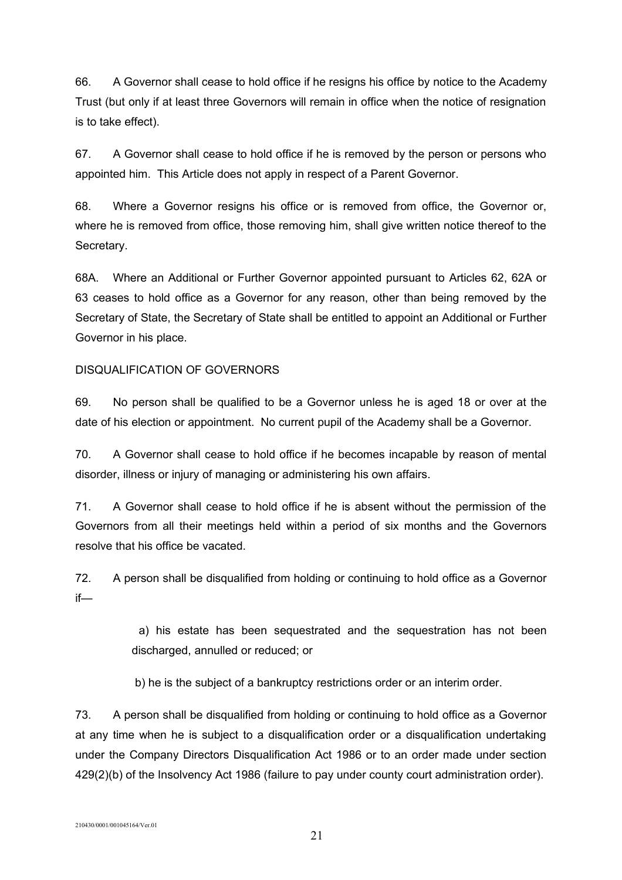66. A Governor shall cease to hold office if he resigns his office by notice to the Academy Trust (but only if at least three Governors will remain in office when the notice of resignation is to take effect).

67. A Governor shall cease to hold office if he is removed by the person or persons who appointed him. This Article does not apply in respect of a Parent Governor.

68. Where a Governor resigns his office or is removed from office, the Governor or, where he is removed from office, those removing him, shall give written notice thereof to the Secretary.

68A. Where an Additional or Further Governor appointed pursuant to Articles 62, 62A or 63 ceases to hold office as a Governor for any reason, other than being removed by the Secretary of State, the Secretary of State shall be entitled to appoint an Additional or Further Governor in his place.

# DISQUALIFICATION OF GOVERNORS

69. No person shall be qualified to be a Governor unless he is aged 18 or over at the date of his election or appointment. No current pupil of the Academy shall be a Governor.

70. A Governor shall cease to hold office if he becomes incapable by reason of mental disorder, illness or injury of managing or administering his own affairs.

71. A Governor shall cease to hold office if he is absent without the permission of the Governors from all their meetings held within a period of six months and the Governors resolve that his office be vacated.

72. A person shall be disqualified from holding or continuing to hold office as a Governor if—

> a) his estate has been sequestrated and the sequestration has not been discharged, annulled or reduced; or

b) he is the subject of a bankruptcy restrictions order or an interim order.

73. A person shall be disqualified from holding or continuing to hold office as a Governor at any time when he is subject to a disqualification order or a disqualification undertaking under the Company Directors Disqualification Act 1986 or to an order made under section 429(2)(b) of the Insolvency Act 1986 (failure to pay under county court administration order).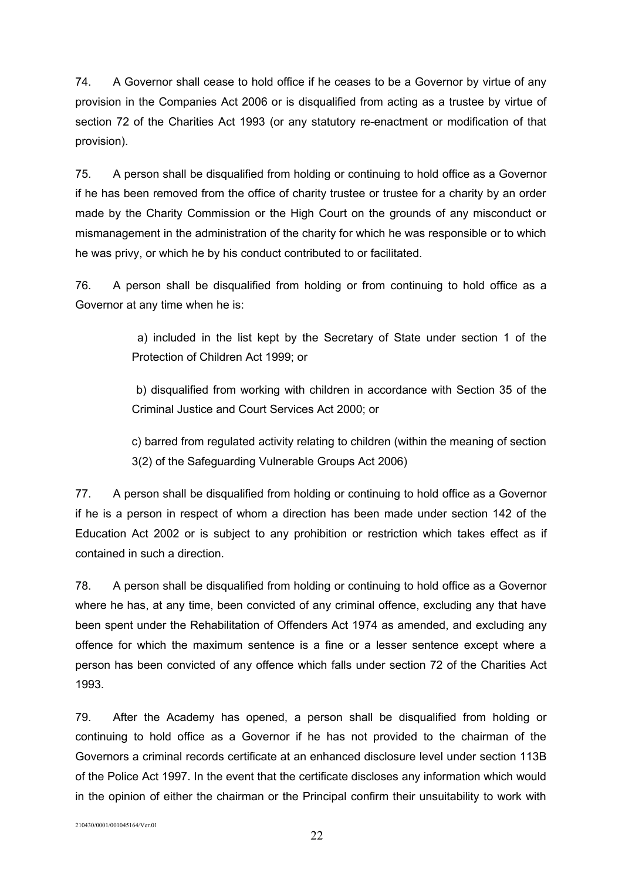74. A Governor shall cease to hold office if he ceases to be a Governor by virtue of any provision in the Companies Act 2006 or is disqualified from acting as a trustee by virtue of section 72 of the Charities Act 1993 (or any statutory re-enactment or modification of that provision).

75. A person shall be disqualified from holding or continuing to hold office as a Governor if he has been removed from the office of charity trustee or trustee for a charity by an order made by the Charity Commission or the High Court on the grounds of any misconduct or mismanagement in the administration of the charity for which he was responsible or to which he was privy, or which he by his conduct contributed to or facilitated.

76. A person shall be disqualified from holding or from continuing to hold office as a Governor at any time when he is:

> a) included in the list kept by the Secretary of State under section 1 of the Protection of Children Act 1999; or

> b) disqualified from working with children in accordance with Section 35 of the Criminal Justice and Court Services Act 2000; or

> c) barred from regulated activity relating to children (within the meaning of section 3(2) of the Safeguarding Vulnerable Groups Act 2006)

77. A person shall be disqualified from holding or continuing to hold office as a Governor if he is a person in respect of whom a direction has been made under section 142 of the Education Act 2002 or is subject to any prohibition or restriction which takes effect as if contained in such a direction.

78. A person shall be disqualified from holding or continuing to hold office as a Governor where he has, at any time, been convicted of any criminal offence, excluding any that have been spent under the Rehabilitation of Offenders Act 1974 as amended, and excluding any offence for which the maximum sentence is a fine or a lesser sentence except where a person has been convicted of any offence which falls under section 72 of the Charities Act 1993.

79. After the Academy has opened, a person shall be disqualified from holding or continuing to hold office as a Governor if he has not provided to the chairman of the Governors a criminal records certificate at an enhanced disclosure level under section 113B of the Police Act 1997. In the event that the certificate discloses any information which would in the opinion of either the chairman or the Principal confirm their unsuitability to work with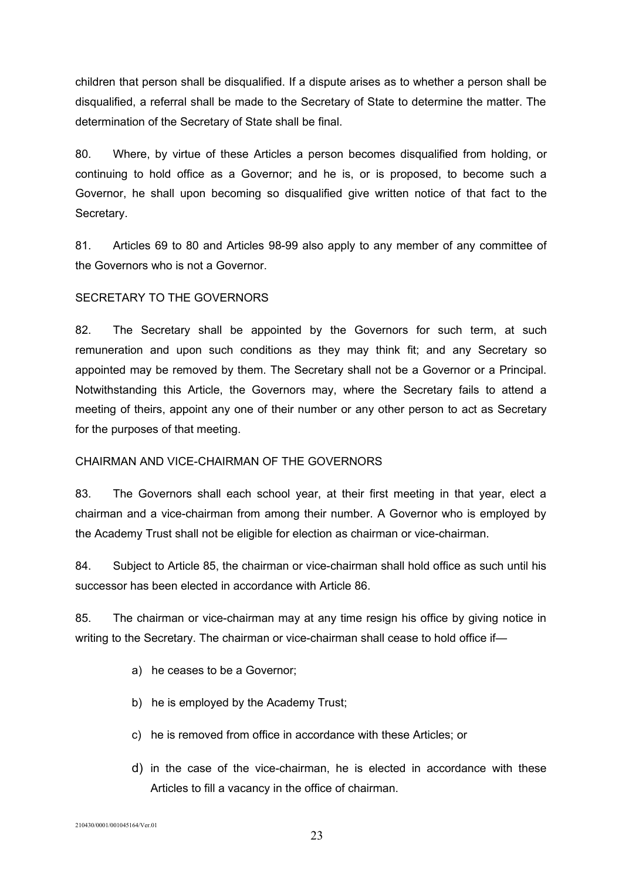children that person shall be disqualified. If a dispute arises as to whether a person shall be disqualified, a referral shall be made to the Secretary of State to determine the matter. The determination of the Secretary of State shall be final.

80. Where, by virtue of these Articles a person becomes disqualified from holding, or continuing to hold office as a Governor; and he is, or is proposed, to become such a Governor, he shall upon becoming so disqualified give written notice of that fact to the Secretary.

81. Articles 69 to 80 and Articles 98-99 also apply to any member of any committee of the Governors who is not a Governor.

# SECRETARY TO THE GOVERNORS

82. The Secretary shall be appointed by the Governors for such term, at such remuneration and upon such conditions as they may think fit; and any Secretary so appointed may be removed by them. The Secretary shall not be a Governor or a Principal. Notwithstanding this Article, the Governors may, where the Secretary fails to attend a meeting of theirs, appoint any one of their number or any other person to act as Secretary for the purposes of that meeting.

# CHAIRMAN AND VICE-CHAIRMAN OF THE GOVERNORS

83. The Governors shall each school year, at their first meeting in that year, elect a chairman and a vice-chairman from among their number. A Governor who is employed by the Academy Trust shall not be eligible for election as chairman or vice-chairman.

84. Subject to Article 85, the chairman or vice-chairman shall hold office as such until his successor has been elected in accordance with Article 86.

85. The chairman or vice-chairman may at any time resign his office by giving notice in writing to the Secretary. The chairman or vice-chairman shall cease to hold office if—

- a) he ceases to be a Governor;
- b) he is employed by the Academy Trust;
- c) he is removed from office in accordance with these Articles; or
- d) in the case of the vice-chairman, he is elected in accordance with these Articles to fill a vacancy in the office of chairman.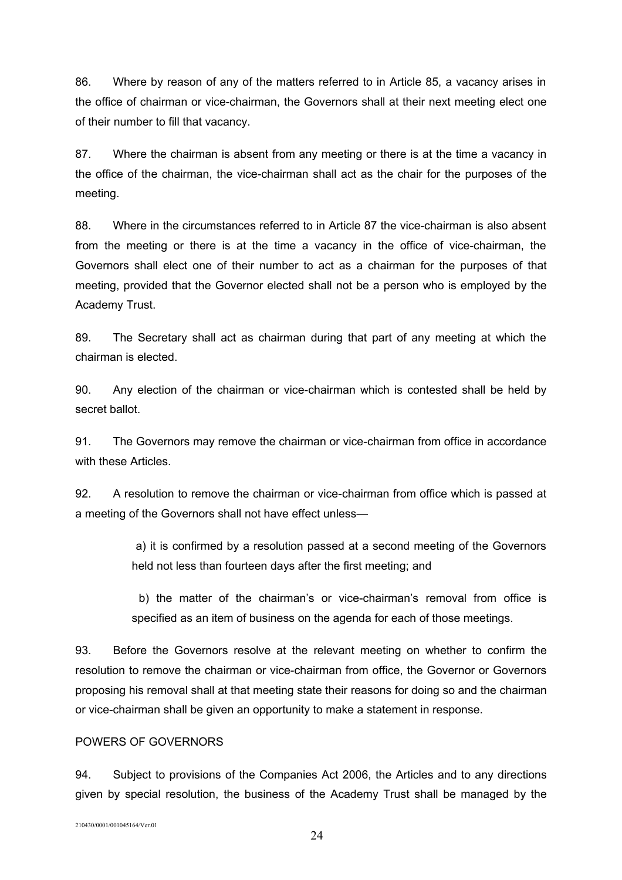86. Where by reason of any of the matters referred to in Article 85, a vacancy arises in the office of chairman or vice-chairman, the Governors shall at their next meeting elect one of their number to fill that vacancy.

87. Where the chairman is absent from any meeting or there is at the time a vacancy in the office of the chairman, the vice-chairman shall act as the chair for the purposes of the meeting.

88. Where in the circumstances referred to in Article 87 the vice-chairman is also absent from the meeting or there is at the time a vacancy in the office of vice-chairman, the Governors shall elect one of their number to act as a chairman for the purposes of that meeting, provided that the Governor elected shall not be a person who is employed by the Academy Trust.

89. The Secretary shall act as chairman during that part of any meeting at which the chairman is elected.

90. Any election of the chairman or vice-chairman which is contested shall be held by secret ballot.

91. The Governors may remove the chairman or vice-chairman from office in accordance with these Articles.

92. A resolution to remove the chairman or vice-chairman from office which is passed at a meeting of the Governors shall not have effect unless—

> a) it is confirmed by a resolution passed at a second meeting of the Governors held not less than fourteen days after the first meeting; and

> b) the matter of the chairman's or vice-chairman's removal from office is specified as an item of business on the agenda for each of those meetings.

93. Before the Governors resolve at the relevant meeting on whether to confirm the resolution to remove the chairman or vice-chairman from office, the Governor or Governors proposing his removal shall at that meeting state their reasons for doing so and the chairman or vice-chairman shall be given an opportunity to make a statement in response.

### POWERS OF GOVERNORS

94. Subject to provisions of the Companies Act 2006, the Articles and to any directions given by special resolution, the business of the Academy Trust shall be managed by the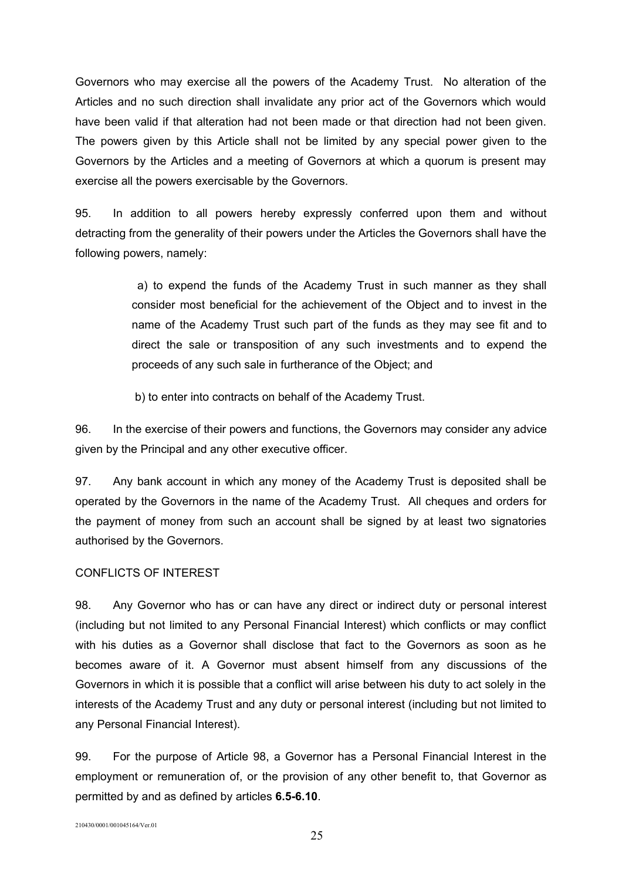Governors who may exercise all the powers of the Academy Trust. No alteration of the Articles and no such direction shall invalidate any prior act of the Governors which would have been valid if that alteration had not been made or that direction had not been given. The powers given by this Article shall not be limited by any special power given to the Governors by the Articles and a meeting of Governors at which a quorum is present may exercise all the powers exercisable by the Governors.

95. In addition to all powers hereby expressly conferred upon them and without detracting from the generality of their powers under the Articles the Governors shall have the following powers, namely:

> a) to expend the funds of the Academy Trust in such manner as they shall consider most beneficial for the achievement of the Object and to invest in the name of the Academy Trust such part of the funds as they may see fit and to direct the sale or transposition of any such investments and to expend the proceeds of any such sale in furtherance of the Object; and

b) to enter into contracts on behalf of the Academy Trust.

96. In the exercise of their powers and functions, the Governors may consider any advice given by the Principal and any other executive officer.

97. Any bank account in which any money of the Academy Trust is deposited shall be operated by the Governors in the name of the Academy Trust. All cheques and orders for the payment of money from such an account shall be signed by at least two signatories authorised by the Governors.

### CONFLICTS OF INTEREST

98. Any Governor who has or can have any direct or indirect duty or personal interest (including but not limited to any Personal Financial Interest) which conflicts or may conflict with his duties as a Governor shall disclose that fact to the Governors as soon as he becomes aware of it. A Governor must absent himself from any discussions of the Governors in which it is possible that a conflict will arise between his duty to act solely in the interests of the Academy Trust and any duty or personal interest (including but not limited to any Personal Financial Interest).

99. For the purpose of Article 98, a Governor has a Personal Financial Interest in the employment or remuneration of, or the provision of any other benefit to, that Governor as permitted by and as defined by articles **6.5-6.10**.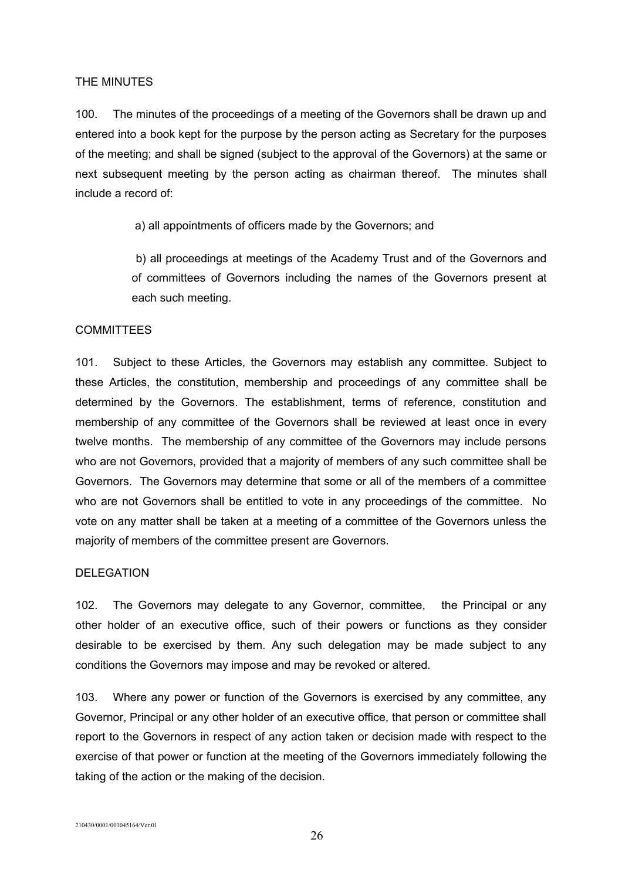### THE MINUTES

100. The minutes of the proceedings of a meeting of the Governors shall be drawn up and entered into a book kept for the purpose by the person acting as Secretary for the purposes of the meeting; and shall be signed (subject to the approval of the Governors) at the same or next subsequent meeting by the person acting as chairman thereof. The minutes shall include a record of:

a) all appointments of officers made by the Governors; and

 b) all proceedings at meetings of the Academy Trust and of the Governors and of committees of Governors including the names of the Governors present at each such meeting.

### **COMMITTEES**

101. Subject to these Articles, the Governors may establish any committee. Subject to these Articles, the constitution, membership and proceedings of any committee shall be determined by the Governors. The establishment, terms of reference, constitution and membership of any committee of the Governors shall be reviewed at least once in every twelve months. The membership of any committee of the Governors may include persons who are not Governors, provided that a majority of members of any such committee shall be Governors. The Governors may determine that some or all of the members of a committee who are not Governors shall be entitled to vote in any proceedings of the committee. No vote on any matter shall be taken at a meeting of a committee of the Governors unless the majority of members of the committee present are Governors.

#### DELEGATION

102. The Governors may delegate to any Governor, committee, the Principal or any other holder of an executive office, such of their powers or functions as they consider desirable to be exercised by them. Any such delegation may be made subject to any conditions the Governors may impose and may be revoked or altered.

103. Where any power or function of the Governors is exercised by any committee, any Governor, Principal or any other holder of an executive office, that person or committee shall report to the Governors in respect of any action taken or decision made with respect to the exercise of that power or function at the meeting of the Governors immediately following the taking of the action or the making of the decision.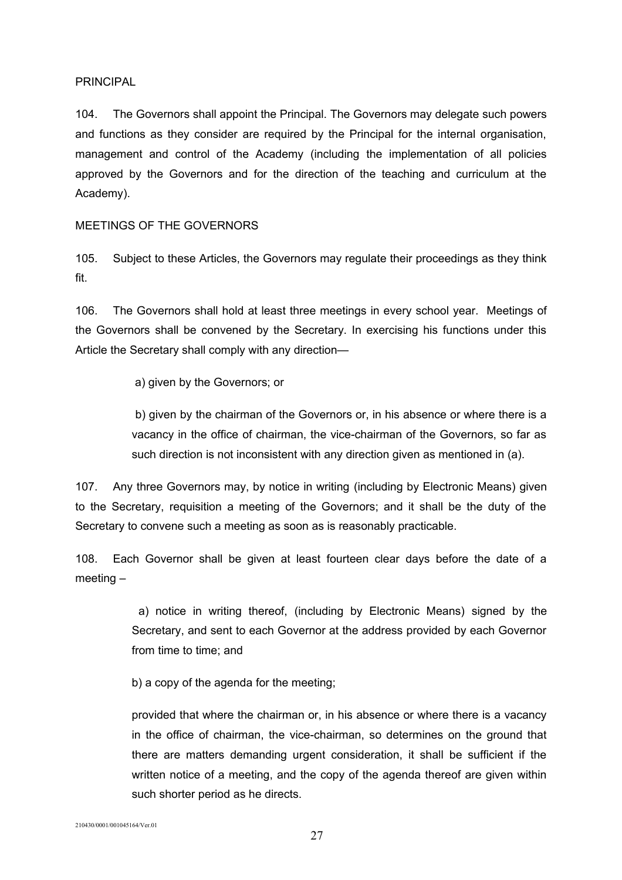### PRINCIPAL

104. The Governors shall appoint the Principal. The Governors may delegate such powers and functions as they consider are required by the Principal for the internal organisation, management and control of the Academy (including the implementation of all policies approved by the Governors and for the direction of the teaching and curriculum at the Academy).

### MEETINGS OF THE GOVERNORS

105. Subject to these Articles, the Governors may regulate their proceedings as they think fit.

106. The Governors shall hold at least three meetings in every school year. Meetings of the Governors shall be convened by the Secretary. In exercising his functions under this Article the Secretary shall comply with any direction—

a) given by the Governors; or

 b) given by the chairman of the Governors or, in his absence or where there is a vacancy in the office of chairman, the vice-chairman of the Governors, so far as such direction is not inconsistent with any direction given as mentioned in (a).

107. Any three Governors may, by notice in writing (including by Electronic Means) given to the Secretary, requisition a meeting of the Governors; and it shall be the duty of the Secretary to convene such a meeting as soon as is reasonably practicable.

108. Each Governor shall be given at least fourteen clear days before the date of a meeting –

> a) notice in writing thereof, (including by Electronic Means) signed by the Secretary, and sent to each Governor at the address provided by each Governor from time to time; and

b) a copy of the agenda for the meeting;

provided that where the chairman or, in his absence or where there is a vacancy in the office of chairman, the vice-chairman, so determines on the ground that there are matters demanding urgent consideration, it shall be sufficient if the written notice of a meeting, and the copy of the agenda thereof are given within such shorter period as he directs.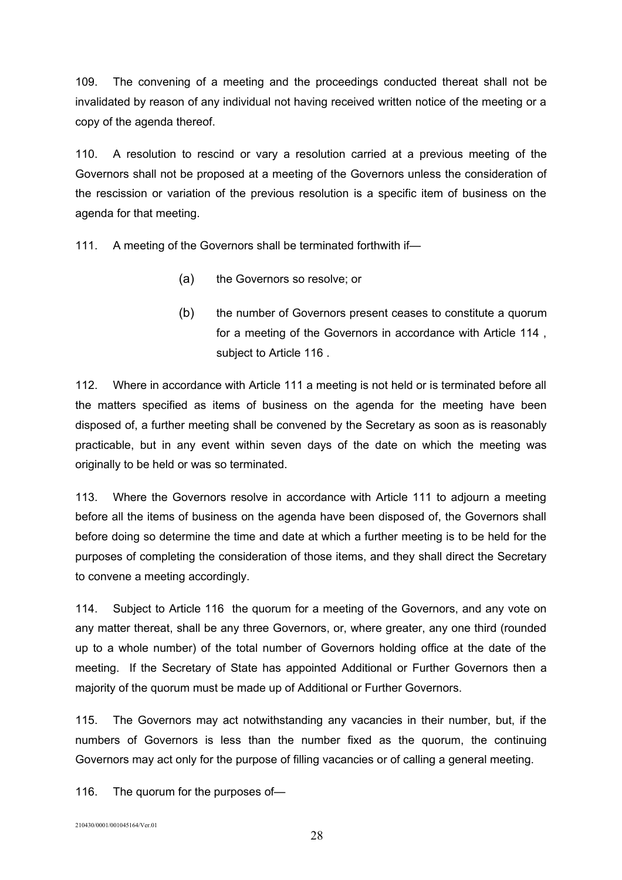109. The convening of a meeting and the proceedings conducted thereat shall not be invalidated by reason of any individual not having received written notice of the meeting or a copy of the agenda thereof.

110. A resolution to rescind or vary a resolution carried at a previous meeting of the Governors shall not be proposed at a meeting of the Governors unless the consideration of the rescission or variation of the previous resolution is a specific item of business on the agenda for that meeting.

111. A meeting of the Governors shall be terminated forthwith if—

- (a) the Governors so resolve; or
- (b) the number of Governors present ceases to constitute a quorum for a meeting of the Governors in accordance with Article 114 , subject to Article 116 .

112. Where in accordance with Article 111 a meeting is not held or is terminated before all the matters specified as items of business on the agenda for the meeting have been disposed of, a further meeting shall be convened by the Secretary as soon as is reasonably practicable, but in any event within seven days of the date on which the meeting was originally to be held or was so terminated.

113. Where the Governors resolve in accordance with Article 111 to adjourn a meeting before all the items of business on the agenda have been disposed of, the Governors shall before doing so determine the time and date at which a further meeting is to be held for the purposes of completing the consideration of those items, and they shall direct the Secretary to convene a meeting accordingly.

114. Subject to Article 116 the quorum for a meeting of the Governors, and any vote on any matter thereat, shall be any three Governors, or, where greater, any one third (rounded up to a whole number) of the total number of Governors holding office at the date of the meeting. If the Secretary of State has appointed Additional or Further Governors then a majority of the quorum must be made up of Additional or Further Governors.

115. The Governors may act notwithstanding any vacancies in their number, but, if the numbers of Governors is less than the number fixed as the quorum, the continuing Governors may act only for the purpose of filling vacancies or of calling a general meeting.

116. The quorum for the purposes of—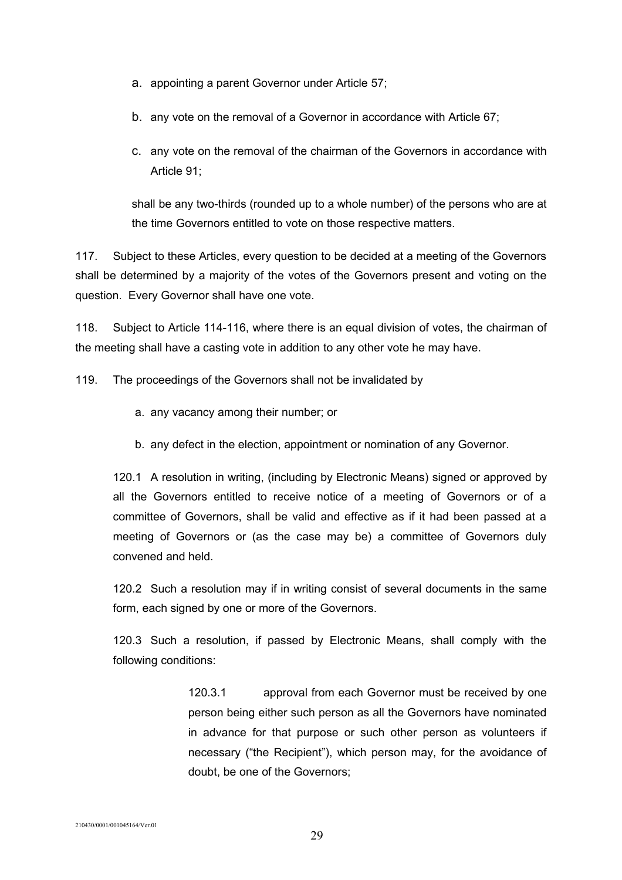- a. appointing a parent Governor under Article 57;
- b. any vote on the removal of a Governor in accordance with Article 67;
- c. any vote on the removal of the chairman of the Governors in accordance with Article 91;

shall be any two-thirds (rounded up to a whole number) of the persons who are at the time Governors entitled to vote on those respective matters.

117. Subject to these Articles, every question to be decided at a meeting of the Governors shall be determined by a majority of the votes of the Governors present and voting on the question. Every Governor shall have one vote.

118. Subject to Article 114-116, where there is an equal division of votes, the chairman of the meeting shall have a casting vote in addition to any other vote he may have.

119. The proceedings of the Governors shall not be invalidated by

- a. any vacancy among their number; or
- b. any defect in the election, appointment or nomination of any Governor.

120.1 A resolution in writing, (including by Electronic Means) signed or approved by all the Governors entitled to receive notice of a meeting of Governors or of a committee of Governors, shall be valid and effective as if it had been passed at a meeting of Governors or (as the case may be) a committee of Governors duly convened and held.

120.2 Such a resolution may if in writing consist of several documents in the same form, each signed by one or more of the Governors.

120.3 Such a resolution, if passed by Electronic Means, shall comply with the following conditions:

> 120.3.1 approval from each Governor must be received by one person being either such person as all the Governors have nominated in advance for that purpose or such other person as volunteers if necessary ("the Recipient"), which person may, for the avoidance of doubt, be one of the Governors;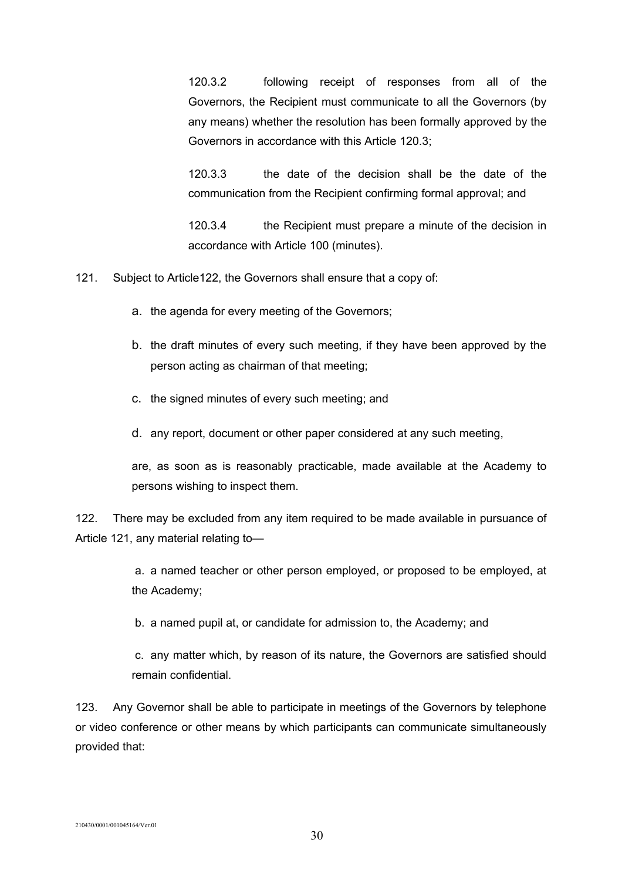120.3.2 following receipt of responses from all of the Governors, the Recipient must communicate to all the Governors (by any means) whether the resolution has been formally approved by the Governors in accordance with this Article 120.3;

120.3.3 the date of the decision shall be the date of the communication from the Recipient confirming formal approval; and

120.3.4 the Recipient must prepare a minute of the decision in accordance with Article 100 (minutes).

121. Subject to Article122, the Governors shall ensure that a copy of:

- a. the agenda for every meeting of the Governors;
- b. the draft minutes of every such meeting, if they have been approved by the person acting as chairman of that meeting;
- c. the signed minutes of every such meeting; and

d. any report, document or other paper considered at any such meeting,

are, as soon as is reasonably practicable, made available at the Academy to persons wishing to inspect them.

122. There may be excluded from any item required to be made available in pursuance of Article 121, any material relating to—

> a. a named teacher or other person employed, or proposed to be employed, at the Academy;

b. a named pupil at, or candidate for admission to, the Academy; and

 c. any matter which, by reason of its nature, the Governors are satisfied should remain confidential.

123. Any Governor shall be able to participate in meetings of the Governors by telephone or video conference or other means by which participants can communicate simultaneously provided that: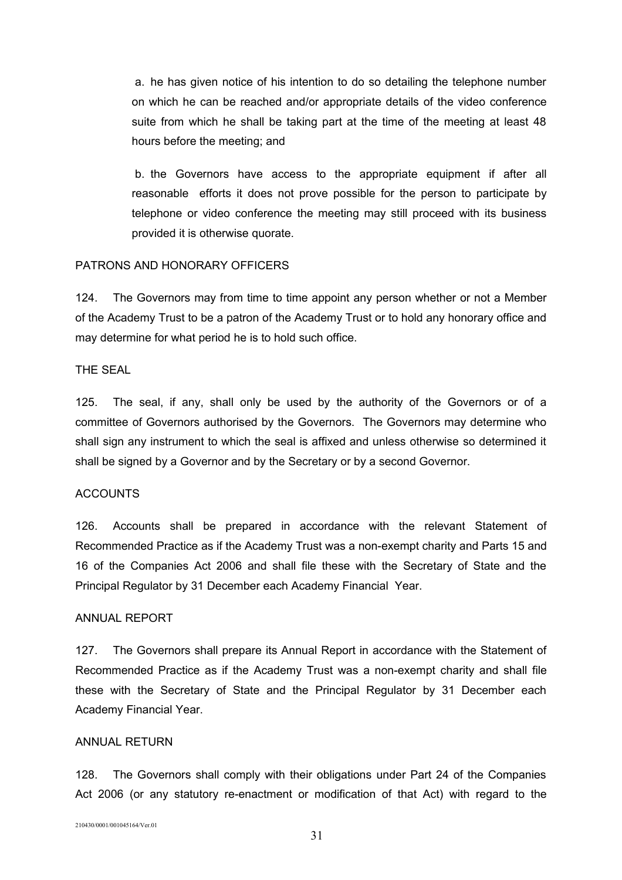a. he has given notice of his intention to do so detailing the telephone number on which he can be reached and/or appropriate details of the video conference suite from which he shall be taking part at the time of the meeting at least 48 hours before the meeting; and

 b. the Governors have access to the appropriate equipment if after all reasonable efforts it does not prove possible for the person to participate by telephone or video conference the meeting may still proceed with its business provided it is otherwise quorate.

#### PATRONS AND HONORARY OFFICERS

124. The Governors may from time to time appoint any person whether or not a Member of the Academy Trust to be a patron of the Academy Trust or to hold any honorary office and may determine for what period he is to hold such office.

### THE SEAL

125. The seal, if any, shall only be used by the authority of the Governors or of a committee of Governors authorised by the Governors. The Governors may determine who shall sign any instrument to which the seal is affixed and unless otherwise so determined it shall be signed by a Governor and by the Secretary or by a second Governor.

#### **ACCOUNTS**

126. Accounts shall be prepared in accordance with the relevant Statement of Recommended Practice as if the Academy Trust was a non-exempt charity and Parts 15 and 16 of the Companies Act 2006 and shall file these with the Secretary of State and the Principal Regulator by 31 December each Academy Financial Year.

#### ANNUAL REPORT

127. The Governors shall prepare its Annual Report in accordance with the Statement of Recommended Practice as if the Academy Trust was a non-exempt charity and shall file these with the Secretary of State and the Principal Regulator by 31 December each Academy Financial Year.

### ANNUAL RETURN

128. The Governors shall comply with their obligations under Part 24 of the Companies Act 2006 (or any statutory re-enactment or modification of that Act) with regard to the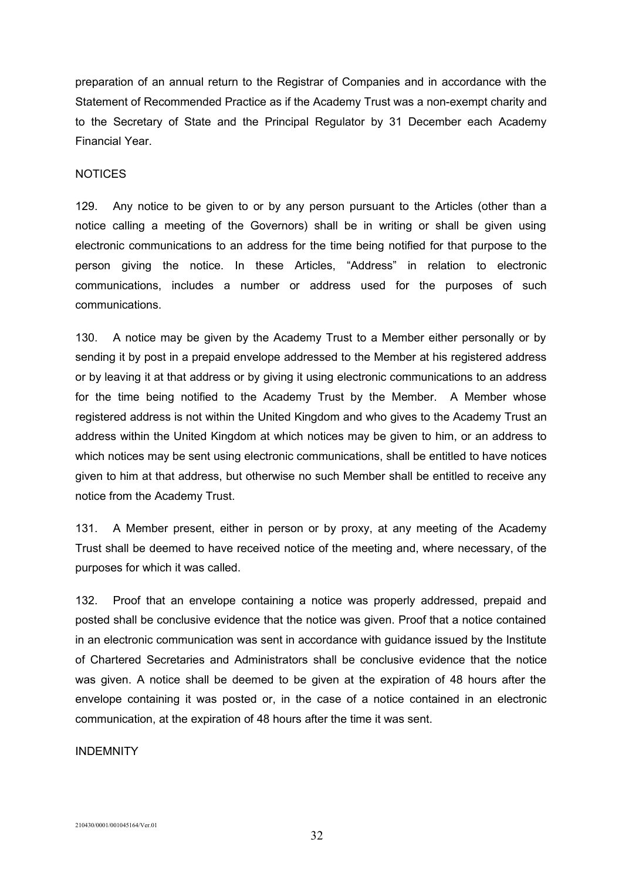preparation of an annual return to the Registrar of Companies and in accordance with the Statement of Recommended Practice as if the Academy Trust was a non-exempt charity and to the Secretary of State and the Principal Regulator by 31 December each Academy Financial Year.

### **NOTICES**

129. Any notice to be given to or by any person pursuant to the Articles (other than a notice calling a meeting of the Governors) shall be in writing or shall be given using electronic communications to an address for the time being notified for that purpose to the person giving the notice. In these Articles, "Address" in relation to electronic communications, includes a number or address used for the purposes of such communications.

130. A notice may be given by the Academy Trust to a Member either personally or by sending it by post in a prepaid envelope addressed to the Member at his registered address or by leaving it at that address or by giving it using electronic communications to an address for the time being notified to the Academy Trust by the Member. A Member whose registered address is not within the United Kingdom and who gives to the Academy Trust an address within the United Kingdom at which notices may be given to him, or an address to which notices may be sent using electronic communications, shall be entitled to have notices given to him at that address, but otherwise no such Member shall be entitled to receive any notice from the Academy Trust.

131. A Member present, either in person or by proxy, at any meeting of the Academy Trust shall be deemed to have received notice of the meeting and, where necessary, of the purposes for which it was called.

132. Proof that an envelope containing a notice was properly addressed, prepaid and posted shall be conclusive evidence that the notice was given. Proof that a notice contained in an electronic communication was sent in accordance with guidance issued by the Institute of Chartered Secretaries and Administrators shall be conclusive evidence that the notice was given. A notice shall be deemed to be given at the expiration of 48 hours after the envelope containing it was posted or, in the case of a notice contained in an electronic communication, at the expiration of 48 hours after the time it was sent.

#### INDEMNITY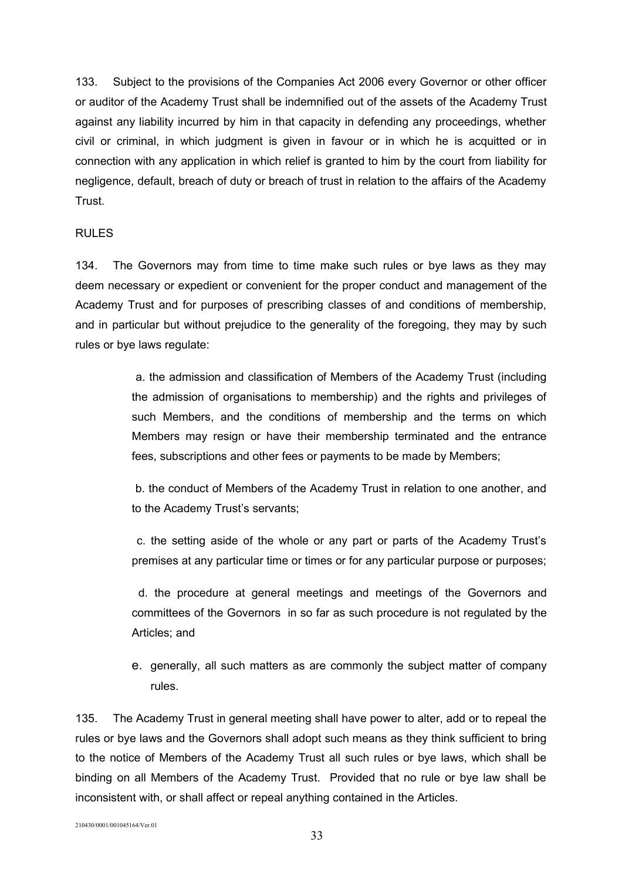133. Subject to the provisions of the Companies Act 2006 every Governor or other officer or auditor of the Academy Trust shall be indemnified out of the assets of the Academy Trust against any liability incurred by him in that capacity in defending any proceedings, whether civil or criminal, in which judgment is given in favour or in which he is acquitted or in connection with any application in which relief is granted to him by the court from liability for negligence, default, breach of duty or breach of trust in relation to the affairs of the Academy Trust.

### RULES

134. The Governors may from time to time make such rules or bye laws as they may deem necessary or expedient or convenient for the proper conduct and management of the Academy Trust and for purposes of prescribing classes of and conditions of membership, and in particular but without prejudice to the generality of the foregoing, they may by such rules or bye laws regulate:

> a. the admission and classification of Members of the Academy Trust (including the admission of organisations to membership) and the rights and privileges of such Members, and the conditions of membership and the terms on which Members may resign or have their membership terminated and the entrance fees, subscriptions and other fees or payments to be made by Members;

> b. the conduct of Members of the Academy Trust in relation to one another, and to the Academy Trust's servants;

> c. the setting aside of the whole or any part or parts of the Academy Trust's premises at any particular time or times or for any particular purpose or purposes;

> d. the procedure at general meetings and meetings of the Governors and committees of the Governors in so far as such procedure is not regulated by the Articles; and

> e. generally, all such matters as are commonly the subject matter of company rules.

135. The Academy Trust in general meeting shall have power to alter, add or to repeal the rules or bye laws and the Governors shall adopt such means as they think sufficient to bring to the notice of Members of the Academy Trust all such rules or bye laws, which shall be binding on all Members of the Academy Trust. Provided that no rule or bye law shall be inconsistent with, or shall affect or repeal anything contained in the Articles.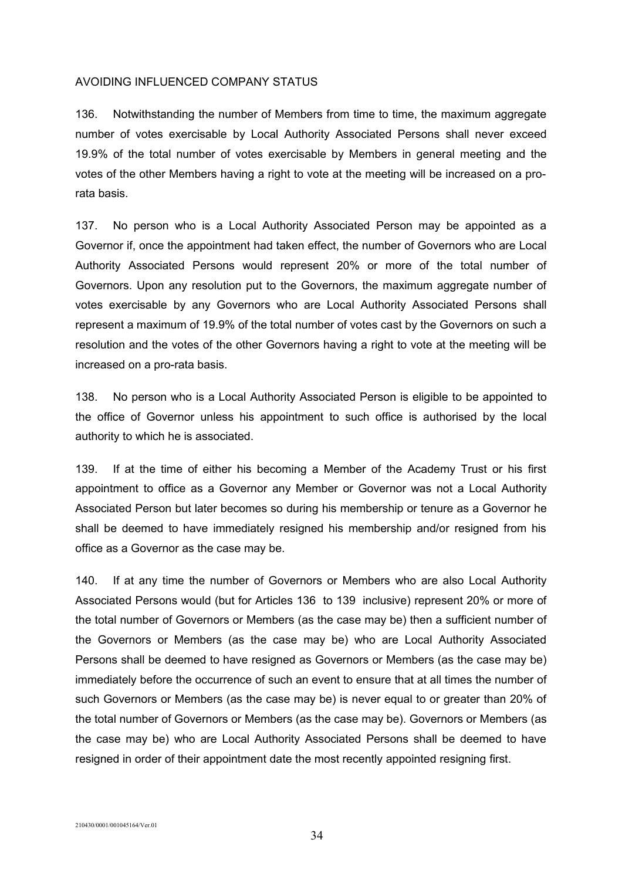### AVOIDING INFLUENCED COMPANY STATUS

136. Notwithstanding the number of Members from time to time, the maximum aggregate number of votes exercisable by Local Authority Associated Persons shall never exceed 19.9% of the total number of votes exercisable by Members in general meeting and the votes of the other Members having a right to vote at the meeting will be increased on a prorata basis.

137. No person who is a Local Authority Associated Person may be appointed as a Governor if, once the appointment had taken effect, the number of Governors who are Local Authority Associated Persons would represent 20% or more of the total number of Governors. Upon any resolution put to the Governors, the maximum aggregate number of votes exercisable by any Governors who are Local Authority Associated Persons shall represent a maximum of 19.9% of the total number of votes cast by the Governors on such a resolution and the votes of the other Governors having a right to vote at the meeting will be increased on a pro-rata basis.

138. No person who is a Local Authority Associated Person is eligible to be appointed to the office of Governor unless his appointment to such office is authorised by the local authority to which he is associated.

139. If at the time of either his becoming a Member of the Academy Trust or his first appointment to office as a Governor any Member or Governor was not a Local Authority Associated Person but later becomes so during his membership or tenure as a Governor he shall be deemed to have immediately resigned his membership and/or resigned from his office as a Governor as the case may be.

140. If at any time the number of Governors or Members who are also Local Authority Associated Persons would (but for Articles 136 to 139 inclusive) represent 20% or more of the total number of Governors or Members (as the case may be) then a sufficient number of the Governors or Members (as the case may be) who are Local Authority Associated Persons shall be deemed to have resigned as Governors or Members (as the case may be) immediately before the occurrence of such an event to ensure that at all times the number of such Governors or Members (as the case may be) is never equal to or greater than 20% of the total number of Governors or Members (as the case may be). Governors or Members (as the case may be) who are Local Authority Associated Persons shall be deemed to have resigned in order of their appointment date the most recently appointed resigning first.